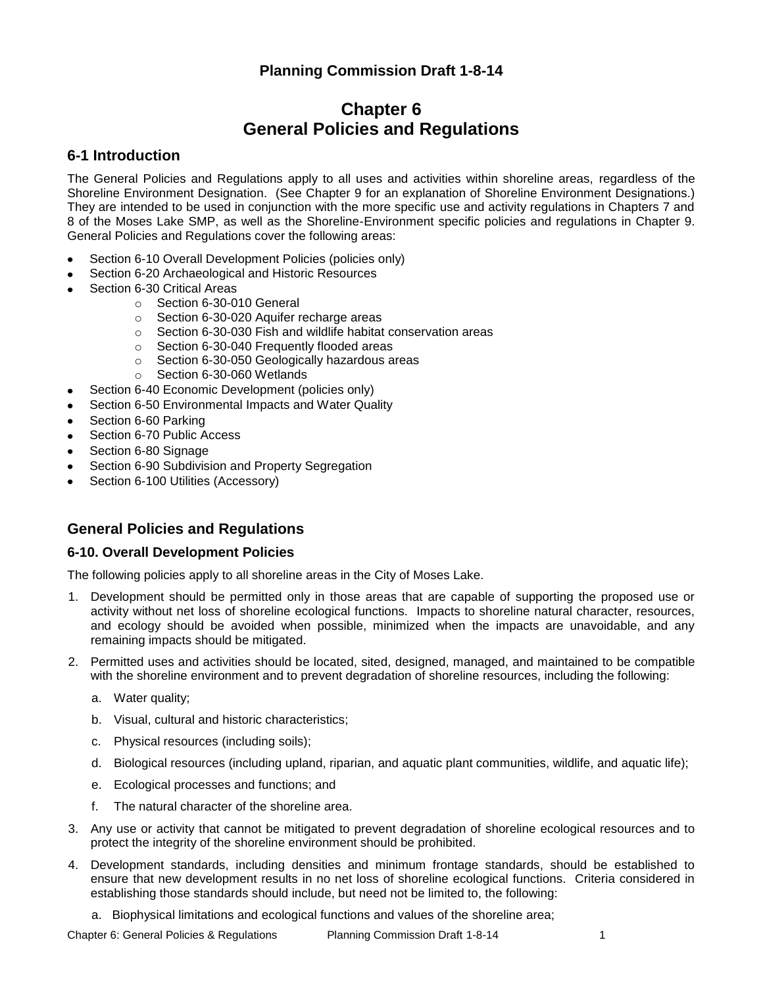# **Planning Commission Draft 1-8-14**

# **Chapter 6 General Policies and Regulations**

# **6-1 Introduction**

The General Policies and Regulations apply to all uses and activities within shoreline areas, regardless of the Shoreline Environment Designation. (See Chapter 9 for an explanation of Shoreline Environment Designations.) They are intended to be used in conjunction with the more specific use and activity regulations in Chapters 7 and 8 of the Moses Lake SMP, as well as the Shoreline-Environment specific policies and regulations in Chapter 9. General Policies and Regulations cover the following areas:

- Section 6-10 Overall Development Policies (policies only)
- Section 6-20 Archaeological and Historic Resources
- Section 6-30 Critical Areas
	- o Section 6-30-010 General
	- o Section 6-30-020 Aquifer recharge areas
	- o Section 6-30-030 Fish and wildlife habitat conservation areas
	- o Section 6-30-040 Frequently flooded areas
	- o Section 6-30-050 Geologically hazardous areas
	- o Section 6-30-060 Wetlands
- Section 6-40 Economic Development (policies only)
- Section 6-50 Environmental Impacts and Water Quality
- Section 6-60 Parking
- Section 6-70 Public Access
- Section 6-80 Signage
- Section 6-90 Subdivision and Property Segregation
- Section 6-100 Utilities (Accessory)

# **General Policies and Regulations**

### **6-10. Overall Development Policies**

The following policies apply to all shoreline areas in the City of Moses Lake.

- 1. Development should be permitted only in those areas that are capable of supporting the proposed use or activity without net loss of shoreline ecological functions. Impacts to shoreline natural character, resources, and ecology should be avoided when possible, minimized when the impacts are unavoidable, and any remaining impacts should be mitigated.
- 2. Permitted uses and activities should be located, sited, designed, managed, and maintained to be compatible with the shoreline environment and to prevent degradation of shoreline resources, including the following:
	- a. Water quality;
	- b. Visual, cultural and historic characteristics;
	- c. Physical resources (including soils);
	- d. Biological resources (including upland, riparian, and aquatic plant communities, wildlife, and aquatic life);
	- e. Ecological processes and functions; and
	- f. The natural character of the shoreline area.
- 3. Any use or activity that cannot be mitigated to prevent degradation of shoreline ecological resources and to protect the integrity of the shoreline environment should be prohibited.
- 4. Development standards, including densities and minimum frontage standards, should be established to ensure that new development results in no net loss of shoreline ecological functions. Criteria considered in establishing those standards should include, but need not be limited to, the following:
	- a. Biophysical limitations and ecological functions and values of the shoreline area;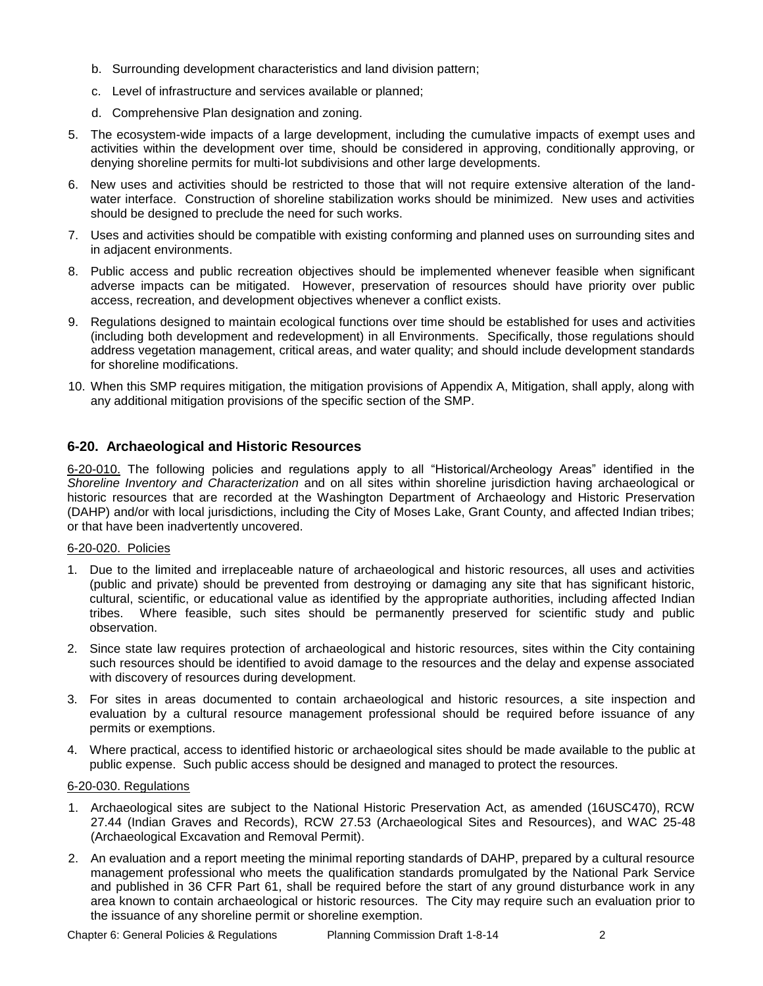- b. Surrounding development characteristics and land division pattern;
- c. Level of infrastructure and services available or planned;
- d. Comprehensive Plan designation and zoning.
- 5. The ecosystem-wide impacts of a large development, including the cumulative impacts of exempt uses and activities within the development over time, should be considered in approving, conditionally approving, or denying shoreline permits for multi-lot subdivisions and other large developments.
- 6. New uses and activities should be restricted to those that will not require extensive alteration of the landwater interface. Construction of shoreline stabilization works should be minimized. New uses and activities should be designed to preclude the need for such works.
- 7. Uses and activities should be compatible with existing conforming and planned uses on surrounding sites and in adjacent environments.
- 8. Public access and public recreation objectives should be implemented whenever feasible when significant adverse impacts can be mitigated. However, preservation of resources should have priority over public access, recreation, and development objectives whenever a conflict exists.
- 9. Regulations designed to maintain ecological functions over time should be established for uses and activities (including both development and redevelopment) in all Environments. Specifically, those regulations should address vegetation management, critical areas, and water quality; and should include development standards for shoreline modifications.
- 10. When this SMP requires mitigation, the mitigation provisions of Appendix A, Mitigation, shall apply, along with any additional mitigation provisions of the specific section of the SMP.

# **6-20. Archaeological and Historic Resources**

6-20-010. The following policies and regulations apply to all "Historical/Archeology Areas" identified in the *Shoreline Inventory and Characterization* and on all sites within shoreline jurisdiction having archaeological or historic resources that are recorded at the Washington Department of Archaeology and Historic Preservation (DAHP) and/or with local jurisdictions, including the City of Moses Lake, Grant County, and affected Indian tribes; or that have been inadvertently uncovered.

### 6-20-020. Policies

- 1. Due to the limited and irreplaceable nature of archaeological and historic resources, all uses and activities (public and private) should be prevented from destroying or damaging any site that has significant historic, cultural, scientific, or educational value as identified by the appropriate authorities, including affected Indian tribes. Where feasible, such sites should be permanently preserved for scientific study and public observation.
- 2. Since state law requires protection of archaeological and historic resources, sites within the City containing such resources should be identified to avoid damage to the resources and the delay and expense associated with discovery of resources during development.
- 3. For sites in areas documented to contain archaeological and historic resources, a site inspection and evaluation by a cultural resource management professional should be required before issuance of any permits or exemptions.
- 4. Where practical, access to identified historic or archaeological sites should be made available to the public at public expense. Such public access should be designed and managed to protect the resources.

### 6-20-030. Regulations

- 1. Archaeological sites are subject to the National Historic Preservation Act, as amended (16USC470), RCW 27.44 (Indian Graves and Records), RCW 27.53 (Archaeological Sites and Resources), and WAC 25-48 (Archaeological Excavation and Removal Permit).
- 2. An evaluation and a report meeting the minimal reporting standards of DAHP, prepared by a cultural resource management professional who meets the qualification standards promulgated by the National Park Service and published in 36 CFR Part 61, shall be required before the start of any ground disturbance work in any area known to contain archaeological or historic resources. The City may require such an evaluation prior to the issuance of any shoreline permit or shoreline exemption.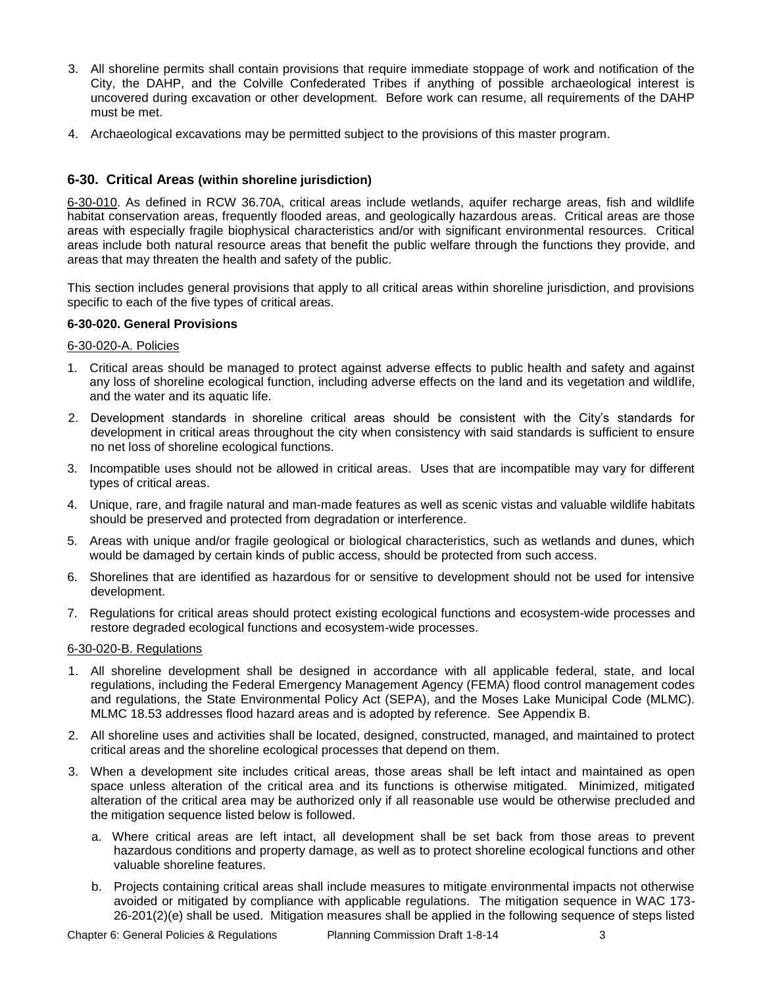- 3. All shoreline permits shall contain provisions that require immediate stoppage of work and notification of the City, the DAHP, and the Colville Confederated Tribes if anything of possible archaeological interest is uncovered during excavation or other development. Before work can resume, all requirements of the DAHP must be met.
- 4. Archaeological excavations may be permitted subject to the provisions of this master program.

## **6-30. Critical Areas (within shoreline jurisdiction)**

6-30-010. As defined in RCW 36.70A, critical areas include wetlands, aquifer recharge areas, fish and wildlife habitat conservation areas, frequently flooded areas, and geologically hazardous areas. Critical areas are those areas with especially fragile biophysical characteristics and/or with significant environmental resources. Critical areas include both natural resource areas that benefit the public welfare through the functions they provide, and areas that may threaten the health and safety of the public.

This section includes general provisions that apply to all critical areas within shoreline jurisdiction, and provisions specific to each of the five types of critical areas.

### **6-30-020. General Provisions**

### 6-30-020-A. Policies

- 1. Critical areas should be managed to protect against adverse effects to public health and safety and against any loss of shoreline ecological function, including adverse effects on the land and its vegetation and wildlife, and the water and its aquatic life.
- 2. Development standards in shoreline critical areas should be consistent with the City's standards for development in critical areas throughout the city when consistency with said standards is sufficient to ensure no net loss of shoreline ecological functions.
- 3. Incompatible uses should not be allowed in critical areas. Uses that are incompatible may vary for different types of critical areas.
- 4. Unique, rare, and fragile natural and man-made features as well as scenic vistas and valuable wildlife habitats should be preserved and protected from degradation or interference.
- 5. Areas with unique and/or fragile geological or biological characteristics, such as wetlands and dunes, which would be damaged by certain kinds of public access, should be protected from such access.
- 6. Shorelines that are identified as hazardous for or sensitive to development should not be used for intensive development.
- 7. Regulations for critical areas should protect existing ecological functions and ecosystem-wide processes and restore degraded ecological functions and ecosystem-wide processes.

### 6-30-020-B. Regulations

- 1. All shoreline development shall be designed in accordance with all applicable federal, state, and local regulations, including the Federal Emergency Management Agency (FEMA) flood control management codes and regulations, the State Environmental Policy Act (SEPA), and the Moses Lake Municipal Code (MLMC). MLMC 18.53 addresses flood hazard areas and is adopted by reference. See Appendix B.
- 2. All shoreline uses and activities shall be located, designed, constructed, managed, and maintained to protect critical areas and the shoreline ecological processes that depend on them.
- 3. When a development site includes critical areas, those areas shall be left intact and maintained as open space unless alteration of the critical area and its functions is otherwise mitigated. Minimized, mitigated alteration of the critical area may be authorized only if all reasonable use would be otherwise precluded and the mitigation sequence listed below is followed.
	- a. Where critical areas are left intact, all development shall be set back from those areas to prevent hazardous conditions and property damage, as well as to protect shoreline ecological functions and other valuable shoreline features.
	- b. Projects containing critical areas shall include measures to mitigate environmental impacts not otherwise avoided or mitigated by compliance with applicable regulations. The mitigation sequence in WAC 173- 26-201(2)(e) shall be used. Mitigation measures shall be applied in the following sequence of steps listed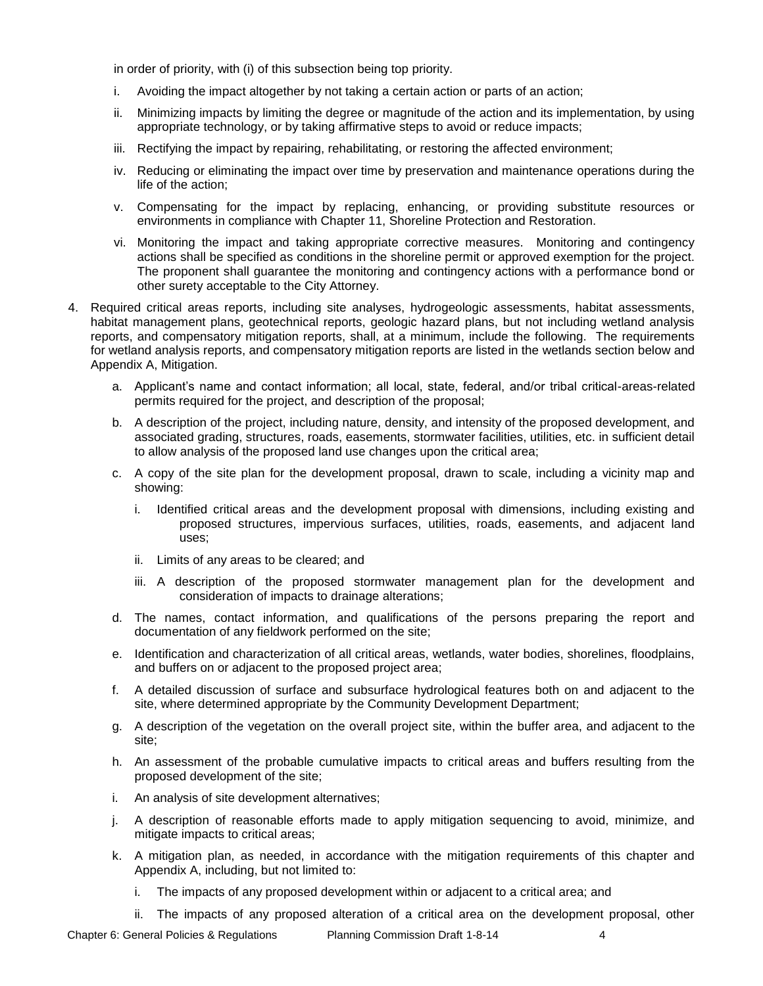in order of priority, with (i) of this subsection being top priority.

- i. Avoiding the impact altogether by not taking a certain action or parts of an action;
- ii. Minimizing impacts by limiting the degree or magnitude of the action and its implementation, by using appropriate technology, or by taking affirmative steps to avoid or reduce impacts;
- iii. Rectifying the impact by repairing, rehabilitating, or restoring the affected environment;
- iv. Reducing or eliminating the impact over time by preservation and maintenance operations during the life of the action;
- v. Compensating for the impact by replacing, enhancing, or providing substitute resources or environments in compliance with Chapter 11, Shoreline Protection and Restoration.
- vi. Monitoring the impact and taking appropriate corrective measures. Monitoring and contingency actions shall be specified as conditions in the shoreline permit or approved exemption for the project. The proponent shall guarantee the monitoring and contingency actions with a performance bond or other surety acceptable to the City Attorney.
- 4. Required critical areas reports, including site analyses, hydrogeologic assessments, habitat assessments, habitat management plans, geotechnical reports, geologic hazard plans, but not including wetland analysis reports, and compensatory mitigation reports, shall, at a minimum, include the following. The requirements for wetland analysis reports, and compensatory mitigation reports are listed in the wetlands section below and Appendix A, Mitigation.
	- a. Applicant's name and contact information; all local, state, federal, and/or tribal critical-areas-related permits required for the project, and description of the proposal;
	- b. A description of the project, including nature, density, and intensity of the proposed development, and associated grading, structures, roads, easements, stormwater facilities, utilities, etc. in sufficient detail to allow analysis of the proposed land use changes upon the critical area;
	- c. A copy of the site plan for the development proposal, drawn to scale, including a vicinity map and showing:
		- i. Identified critical areas and the development proposal with dimensions, including existing and proposed structures, impervious surfaces, utilities, roads, easements, and adjacent land uses;
		- ii. Limits of any areas to be cleared; and
		- iii. A description of the proposed stormwater management plan for the development and consideration of impacts to drainage alterations;
	- d. The names, contact information, and qualifications of the persons preparing the report and documentation of any fieldwork performed on the site;
	- e. Identification and characterization of all critical areas, wetlands, water bodies, shorelines, floodplains, and buffers on or adjacent to the proposed project area;
	- f. A detailed discussion of surface and subsurface hydrological features both on and adjacent to the site, where determined appropriate by the Community Development Department;
	- g. A description of the vegetation on the overall project site, within the buffer area, and adjacent to the site;
	- h. An assessment of the probable cumulative impacts to critical areas and buffers resulting from the proposed development of the site;
	- i. An analysis of site development alternatives;
	- j. A description of reasonable efforts made to apply mitigation sequencing to avoid, minimize, and mitigate impacts to critical areas;
	- k. A mitigation plan, as needed, in accordance with the mitigation requirements of this chapter and Appendix A, including, but not limited to:
		- i. The impacts of any proposed development within or adjacent to a critical area; and
		- ii. The impacts of any proposed alteration of a critical area on the development proposal, other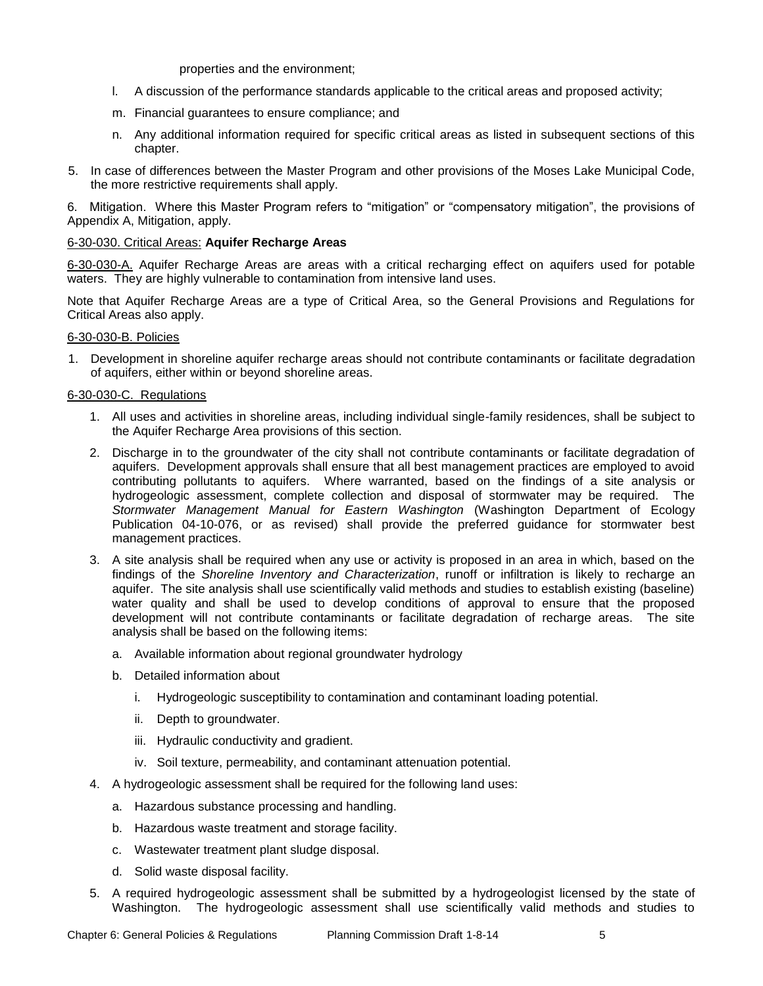properties and the environment;

- l. A discussion of the performance standards applicable to the critical areas and proposed activity;
- m. Financial guarantees to ensure compliance; and
- n. Any additional information required for specific critical areas as listed in subsequent sections of this chapter.
- 5. In case of differences between the Master Program and other provisions of the Moses Lake Municipal Code, the more restrictive requirements shall apply.

6. Mitigation. Where this Master Program refers to "mitigation" or "compensatory mitigation", the provisions of Appendix A, Mitigation, apply.

### 6-30-030. Critical Areas: **Aquifer Recharge Areas**

6-30-030-A. Aquifer Recharge Areas are areas with a critical recharging effect on aquifers used for potable waters.They are highly vulnerable to contamination from intensive land uses.

Note that Aquifer Recharge Areas are a type of Critical Area, so the General Provisions and Regulations for Critical Areas also apply.

### 6-30-030-B. Policies

1. Development in shoreline aquifer recharge areas should not contribute contaminants or facilitate degradation of aquifers, either within or beyond shoreline areas.

### 6-30-030-C. Regulations

- 1. All uses and activities in shoreline areas, including individual single-family residences, shall be subject to the Aquifer Recharge Area provisions of this section.
- 2. Discharge in to the groundwater of the city shall not contribute contaminants or facilitate degradation of aquifers. Development approvals shall ensure that all best management practices are employed to avoid contributing pollutants to aquifers. Where warranted, based on the findings of a site analysis or hydrogeologic assessment, complete collection and disposal of stormwater may be required. The *Stormwater Management Manual for Eastern Washington* (Washington Department of Ecology Publication 04-10-076, or as revised) shall provide the preferred guidance for stormwater best management practices.
- 3. A site analysis shall be required when any use or activity is proposed in an area in which, based on the findings of the *Shoreline Inventory and Characterization*, runoff or infiltration is likely to recharge an aquifer. The site analysis shall use scientifically valid methods and studies to establish existing (baseline) water quality and shall be used to develop conditions of approval to ensure that the proposed development will not contribute contaminants or facilitate degradation of recharge areas. The site analysis shall be based on the following items:
	- a. Available information about regional groundwater hydrology
	- b. Detailed information about
		- i. Hydrogeologic susceptibility to contamination and contaminant loading potential.
		- ii. Depth to groundwater.
		- iii. Hydraulic conductivity and gradient.
		- iv. Soil texture, permeability, and contaminant attenuation potential.
- 4. A hydrogeologic assessment shall be required for the following land uses:
	- a. Hazardous substance processing and handling.
	- b. Hazardous waste treatment and storage facility.
	- c. Wastewater treatment plant sludge disposal.
	- d. Solid waste disposal facility.
- 5. A required hydrogeologic assessment shall be submitted by a hydrogeologist licensed by the state of Washington. The hydrogeologic assessment shall use scientifically valid methods and studies to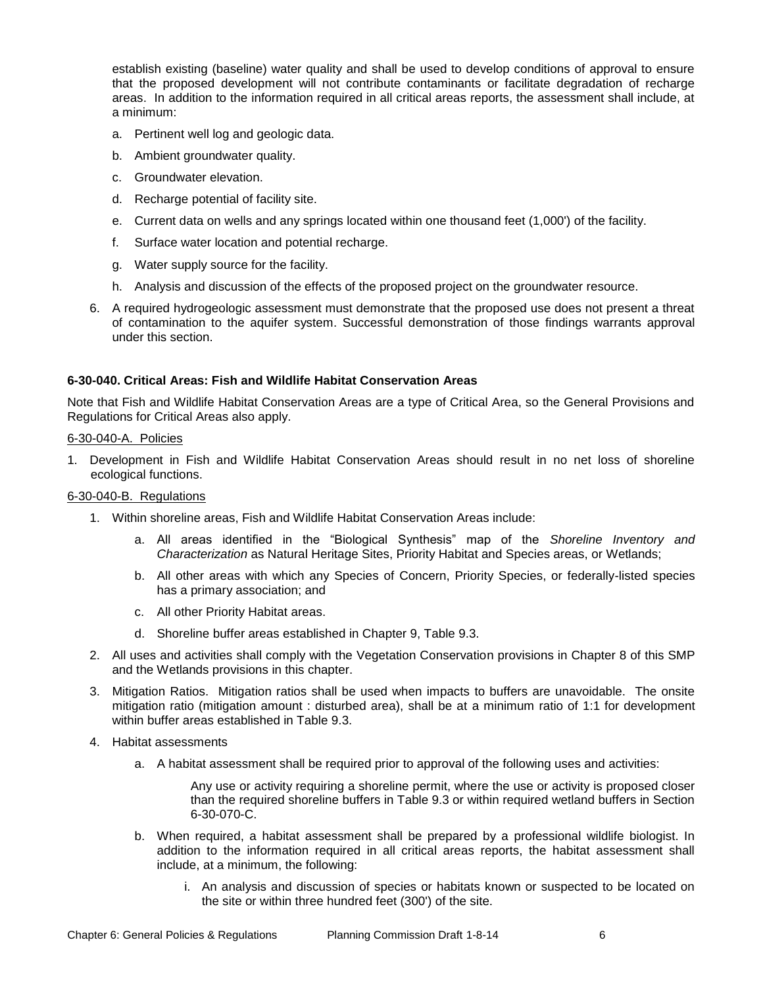establish existing (baseline) water quality and shall be used to develop conditions of approval to ensure that the proposed development will not contribute contaminants or facilitate degradation of recharge areas. In addition to the information required in all critical areas reports, the assessment shall include, at a minimum:

- a. Pertinent well log and geologic data.
- b. Ambient groundwater quality.
- c. Groundwater elevation.
- d. Recharge potential of facility site.
- e. Current data on wells and any springs located within one thousand feet (1,000') of the facility.
- f. Surface water location and potential recharge.
- g. Water supply source for the facility.
- h. Analysis and discussion of the effects of the proposed project on the groundwater resource.
- 6. A required hydrogeologic assessment must demonstrate that the proposed use does not present a threat of contamination to the aquifer system. Successful demonstration of those findings warrants approval under this section.

### **6-30-040. Critical Areas: Fish and Wildlife Habitat Conservation Areas**

Note that Fish and Wildlife Habitat Conservation Areas are a type of Critical Area, so the General Provisions and Regulations for Critical Areas also apply.

### 6-30-040-A. Policies

1. Development in Fish and Wildlife Habitat Conservation Areas should result in no net loss of shoreline ecological functions.

### 6-30-040-B. Regulations

- 1. Within shoreline areas, Fish and Wildlife Habitat Conservation Areas include:
	- a. All areas identified in the "Biological Synthesis" map of the *Shoreline Inventory and Characterization* as Natural Heritage Sites, Priority Habitat and Species areas, or Wetlands;
	- b. All other areas with which any Species of Concern, Priority Species, or federally-listed species has a primary association; and
	- c. All other Priority Habitat areas.
	- d. Shoreline buffer areas established in Chapter 9, Table 9.3.
- 2. All uses and activities shall comply with the Vegetation Conservation provisions in Chapter 8 of this SMP and the Wetlands provisions in this chapter.
- 3. Mitigation Ratios. Mitigation ratios shall be used when impacts to buffers are unavoidable. The onsite mitigation ratio (mitigation amount : disturbed area), shall be at a minimum ratio of 1:1 for development within buffer areas established in Table 9.3.
- 4. Habitat assessments
	- a. A habitat assessment shall be required prior to approval of the following uses and activities:

Any use or activity requiring a shoreline permit, where the use or activity is proposed closer than the required shoreline buffers in Table 9.3 or within required wetland buffers in Section 6-30-070-C.

- b. When required, a habitat assessment shall be prepared by a professional wildlife biologist. In addition to the information required in all critical areas reports, the habitat assessment shall include, at a minimum, the following:
	- i. An analysis and discussion of species or habitats known or suspected to be located on the site or within three hundred feet (300') of the site.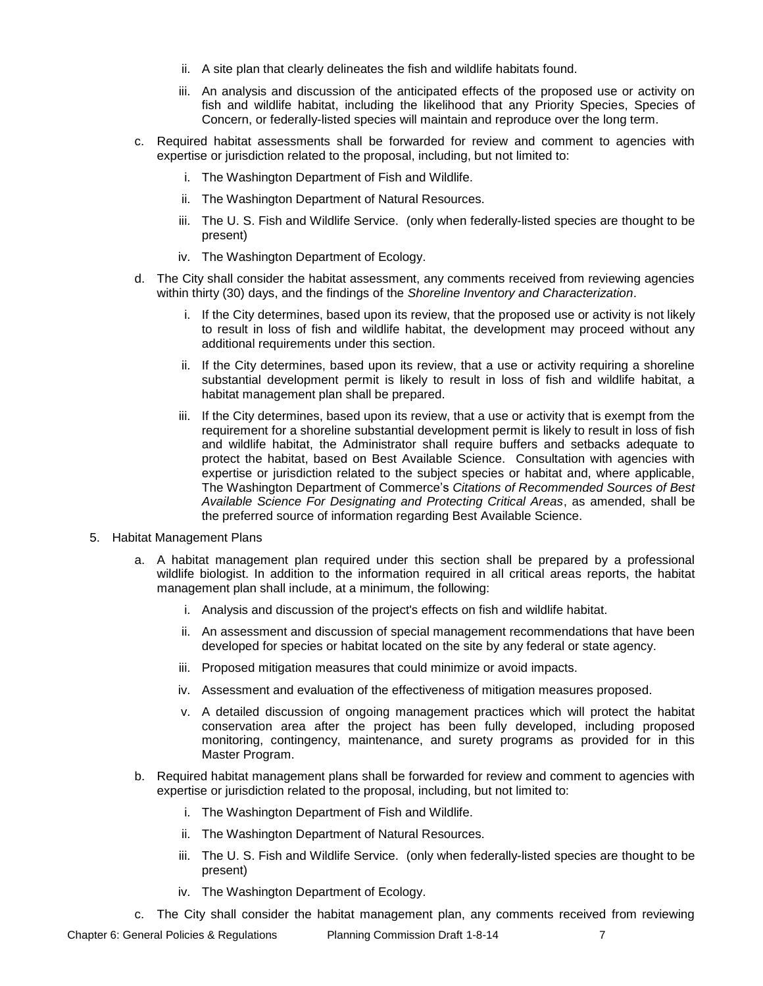- ii. A site plan that clearly delineates the fish and wildlife habitats found.
- iii. An analysis and discussion of the anticipated effects of the proposed use or activity on fish and wildlife habitat, including the likelihood that any Priority Species, Species of Concern, or federally-listed species will maintain and reproduce over the long term.
- c. Required habitat assessments shall be forwarded for review and comment to agencies with expertise or jurisdiction related to the proposal, including, but not limited to:
	- i. The Washington Department of Fish and Wildlife.
	- ii. The Washington Department of Natural Resources.
	- iii. The U. S. Fish and Wildlife Service. (only when federally-listed species are thought to be present)
	- iv. The Washington Department of Ecology.
- d. The City shall consider the habitat assessment, any comments received from reviewing agencies within thirty (30) days, and the findings of the *Shoreline Inventory and Characterization*.
	- i. If the City determines, based upon its review, that the proposed use or activity is not likely to result in loss of fish and wildlife habitat, the development may proceed without any additional requirements under this section.
	- ii. If the City determines, based upon its review, that a use or activity requiring a shoreline substantial development permit is likely to result in loss of fish and wildlife habitat, a habitat management plan shall be prepared.
	- iii. If the City determines, based upon its review, that a use or activity that is exempt from the requirement for a shoreline substantial development permit is likely to result in loss of fish and wildlife habitat, the Administrator shall require buffers and setbacks adequate to protect the habitat, based on Best Available Science. Consultation with agencies with expertise or jurisdiction related to the subject species or habitat and, where applicable, The Washington Department of Commerce's *Citations of Recommended Sources of Best Available Science For Designating and Protecting Critical Areas*, as amended, shall be the preferred source of information regarding Best Available Science.
- 5. Habitat Management Plans
	- a. A habitat management plan required under this section shall be prepared by a professional wildlife biologist. In addition to the information required in all critical areas reports, the habitat management plan shall include, at a minimum, the following:
		- i. Analysis and discussion of the project's effects on fish and wildlife habitat.
		- ii. An assessment and discussion of special management recommendations that have been developed for species or habitat located on the site by any federal or state agency.
		- iii. Proposed mitigation measures that could minimize or avoid impacts.
		- iv. Assessment and evaluation of the effectiveness of mitigation measures proposed.
		- v. A detailed discussion of ongoing management practices which will protect the habitat conservation area after the project has been fully developed, including proposed monitoring, contingency, maintenance, and surety programs as provided for in this Master Program.
	- b. Required habitat management plans shall be forwarded for review and comment to agencies with expertise or jurisdiction related to the proposal, including, but not limited to:
		- i. The Washington Department of Fish and Wildlife.
		- ii. The Washington Department of Natural Resources.
		- iii. The U. S. Fish and Wildlife Service. (only when federally-listed species are thought to be present)
		- iv. The Washington Department of Ecology.
	- c. The City shall consider the habitat management plan, any comments received from reviewing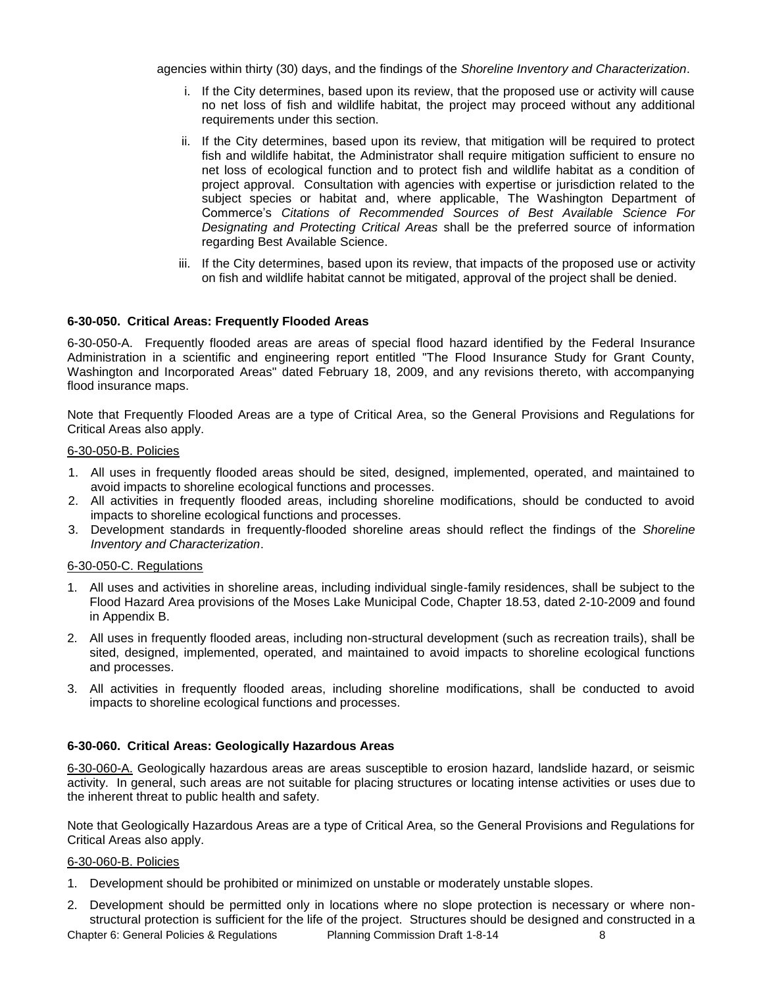agencies within thirty (30) days, and the findings of the *Shoreline Inventory and Characterization*.

- i. If the City determines, based upon its review, that the proposed use or activity will cause no net loss of fish and wildlife habitat, the project may proceed without any additional requirements under this section.
- ii. If the City determines, based upon its review, that mitigation will be required to protect fish and wildlife habitat, the Administrator shall require mitigation sufficient to ensure no net loss of ecological function and to protect fish and wildlife habitat as a condition of project approval. Consultation with agencies with expertise or jurisdiction related to the subject species or habitat and, where applicable, The Washington Department of Commerce's *Citations of Recommended Sources of Best Available Science For Designating and Protecting Critical Areas* shall be the preferred source of information regarding Best Available Science.
- iii. If the City determines, based upon its review, that impacts of the proposed use or activity on fish and wildlife habitat cannot be mitigated, approval of the project shall be denied.

### **6-30-050. Critical Areas: Frequently Flooded Areas**

6-30-050-A. Frequently flooded areas are areas of special flood hazard identified by the Federal Insurance Administration in a scientific and engineering report entitled "The Flood Insurance Study for Grant County, Washington and Incorporated Areas" dated February 18, 2009, and any revisions thereto, with accompanying flood insurance maps.

Note that Frequently Flooded Areas are a type of Critical Area, so the General Provisions and Regulations for Critical Areas also apply.

### 6-30-050-B. Policies

- 1. All uses in frequently flooded areas should be sited, designed, implemented, operated, and maintained to avoid impacts to shoreline ecological functions and processes.
- 2. All activities in frequently flooded areas, including shoreline modifications, should be conducted to avoid impacts to shoreline ecological functions and processes.
- 3. Development standards in frequently-flooded shoreline areas should reflect the findings of the *Shoreline Inventory and Characterization*.

### 6-30-050-C. Regulations

- 1. All uses and activities in shoreline areas, including individual single-family residences, shall be subject to the Flood Hazard Area provisions of the Moses Lake Municipal Code, Chapter 18.53, dated 2-10-2009 and found in Appendix B.
- 2. All uses in frequently flooded areas, including non-structural development (such as recreation trails), shall be sited, designed, implemented, operated, and maintained to avoid impacts to shoreline ecological functions and processes.
- 3. All activities in frequently flooded areas, including shoreline modifications, shall be conducted to avoid impacts to shoreline ecological functions and processes.

### **6-30-060. Critical Areas: Geologically Hazardous Areas**

6-30-060-A. Geologically hazardous areas are areas susceptible to erosion hazard, landslide hazard, or seismic activity. In general, such areas are not suitable for placing structures or locating intense activities or uses due to the inherent threat to public health and safety.

Note that Geologically Hazardous Areas are a type of Critical Area, so the General Provisions and Regulations for Critical Areas also apply.

### 6-30-060-B. Policies

- 1. Development should be prohibited or minimized on unstable or moderately unstable slopes.
- 2. Development should be permitted only in locations where no slope protection is necessary or where nonstructural protection is sufficient for the life of the project. Structures should be designed and constructed in a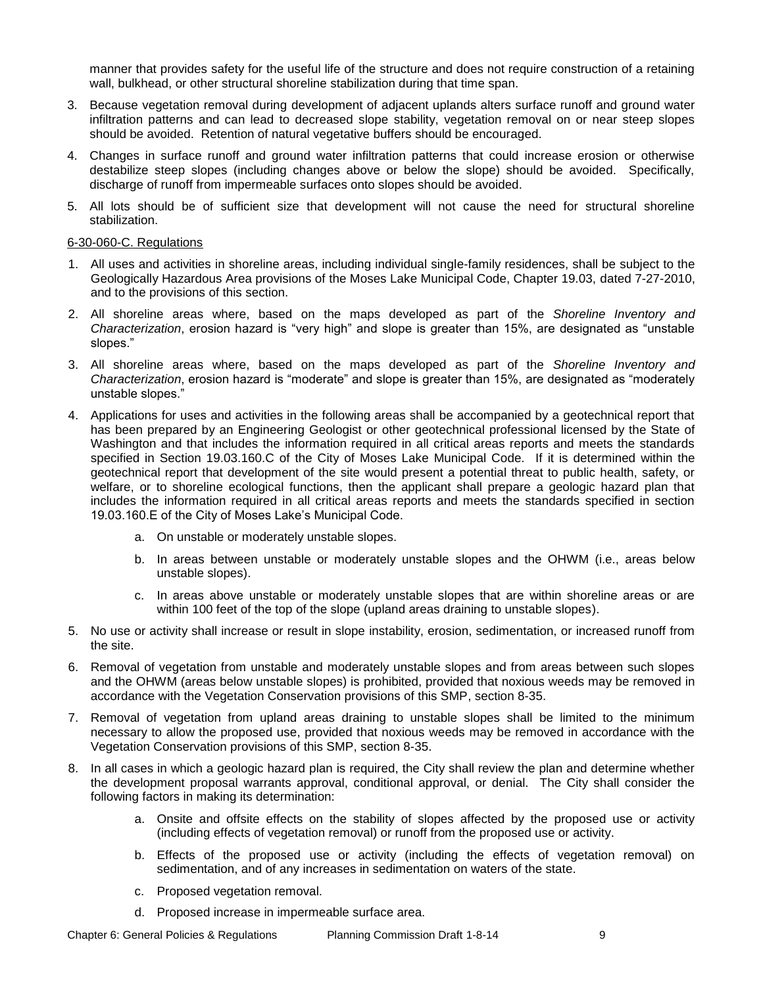manner that provides safety for the useful life of the structure and does not require construction of a retaining wall, bulkhead, or other structural shoreline stabilization during that time span.

- 3. Because vegetation removal during development of adjacent uplands alters surface runoff and ground water infiltration patterns and can lead to decreased slope stability, vegetation removal on or near steep slopes should be avoided. Retention of natural vegetative buffers should be encouraged.
- 4. Changes in surface runoff and ground water infiltration patterns that could increase erosion or otherwise destabilize steep slopes (including changes above or below the slope) should be avoided. Specifically, discharge of runoff from impermeable surfaces onto slopes should be avoided.
- 5. All lots should be of sufficient size that development will not cause the need for structural shoreline stabilization.

#### 6-30-060-C. Regulations

- 1. All uses and activities in shoreline areas, including individual single-family residences, shall be subject to the Geologically Hazardous Area provisions of the Moses Lake Municipal Code, Chapter 19.03, dated 7-27-2010, and to the provisions of this section.
- 2. All shoreline areas where, based on the maps developed as part of the *Shoreline Inventory and Characterization*, erosion hazard is "very high" and slope is greater than 15%, are designated as "unstable slopes."
- 3. All shoreline areas where, based on the maps developed as part of the *Shoreline Inventory and Characterization*, erosion hazard is "moderate" and slope is greater than 15%, are designated as "moderately unstable slopes."
- 4. Applications for uses and activities in the following areas shall be accompanied by a geotechnical report that has been prepared by an Engineering Geologist or other geotechnical professional licensed by the State of Washington and that includes the information required in all critical areas reports and meets the standards specified in Section 19.03.160.C of the City of Moses Lake Municipal Code. If it is determined within the geotechnical report that development of the site would present a potential threat to public health, safety, or welfare, or to shoreline ecological functions, then the applicant shall prepare a geologic hazard plan that includes the information required in all critical areas reports and meets the standards specified in section 19.03.160.E of the City of Moses Lake's Municipal Code.
	- a. On unstable or moderately unstable slopes.
	- b. In areas between unstable or moderately unstable slopes and the OHWM (i.e., areas below unstable slopes).
	- c. In areas above unstable or moderately unstable slopes that are within shoreline areas or are within 100 feet of the top of the slope (upland areas draining to unstable slopes).
- 5. No use or activity shall increase or result in slope instability, erosion, sedimentation, or increased runoff from the site.
- 6. Removal of vegetation from unstable and moderately unstable slopes and from areas between such slopes and the OHWM (areas below unstable slopes) is prohibited, provided that noxious weeds may be removed in accordance with the Vegetation Conservation provisions of this SMP, section 8-35.
- 7. Removal of vegetation from upland areas draining to unstable slopes shall be limited to the minimum necessary to allow the proposed use, provided that noxious weeds may be removed in accordance with the Vegetation Conservation provisions of this SMP, section 8-35.
- 8. In all cases in which a geologic hazard plan is required, the City shall review the plan and determine whether the development proposal warrants approval, conditional approval, or denial. The City shall consider the following factors in making its determination:
	- a. Onsite and offsite effects on the stability of slopes affected by the proposed use or activity (including effects of vegetation removal) or runoff from the proposed use or activity.
	- b. Effects of the proposed use or activity (including the effects of vegetation removal) on sedimentation, and of any increases in sedimentation on waters of the state.
	- c. Proposed vegetation removal.
	- d. Proposed increase in impermeable surface area.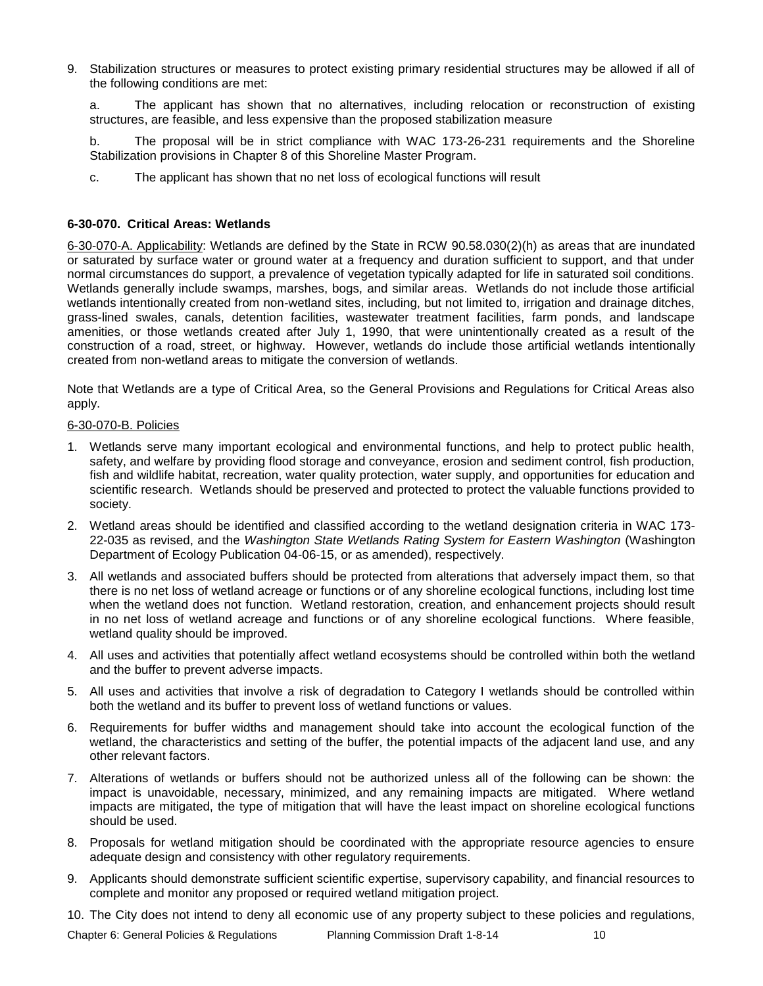9. Stabilization structures or measures to protect existing primary residential structures may be allowed if all of the following conditions are met:

a. The applicant has shown that no alternatives, including relocation or reconstruction of existing structures, are feasible, and less expensive than the proposed stabilization measure

b. The proposal will be in strict compliance with WAC 173-26-231 requirements and the Shoreline Stabilization provisions in Chapter 8 of this Shoreline Master Program.

c. The applicant has shown that no net loss of ecological functions will result

### **6-30-070. Critical Areas: Wetlands**

6-30-070-A. Applicability: Wetlands are defined by the State in RCW 90.58.030(2)(h) as areas that are inundated or saturated by surface water or ground water at a frequency and duration sufficient to support, and that under normal circumstances do support, a prevalence of vegetation typically adapted for life in saturated soil conditions. Wetlands generally include swamps, marshes, bogs, and similar areas. Wetlands do not include those artificial wetlands intentionally created from non-wetland sites, including, but not limited to, irrigation and drainage ditches, grass-lined swales, canals, detention facilities, wastewater treatment facilities, farm ponds, and landscape amenities, or those wetlands created after July 1, 1990, that were unintentionally created as a result of the construction of a road, street, or highway. However, wetlands do include those artificial wetlands intentionally created from non-wetland areas to mitigate the conversion of wetlands.

Note that Wetlands are a type of Critical Area, so the General Provisions and Regulations for Critical Areas also apply.

### 6-30-070-B. Policies

- 1. Wetlands serve many important ecological and environmental functions, and help to protect public health, safety, and welfare by providing flood storage and conveyance, erosion and sediment control, fish production, fish and wildlife habitat, recreation, water quality protection, water supply, and opportunities for education and scientific research. Wetlands should be preserved and protected to protect the valuable functions provided to society.
- 2. Wetland areas should be identified and classified according to the wetland designation criteria in WAC 173- 22-035 as revised, and the *Washington State Wetlands Rating System for Eastern Washington* (Washington Department of Ecology Publication 04-06-15, or as amended), respectively.
- 3. All wetlands and associated buffers should be protected from alterations that adversely impact them, so that there is no net loss of wetland acreage or functions or of any shoreline ecological functions, including lost time when the wetland does not function. Wetland restoration, creation, and enhancement projects should result in no net loss of wetland acreage and functions or of any shoreline ecological functions. Where feasible, wetland quality should be improved.
- 4. All uses and activities that potentially affect wetland ecosystems should be controlled within both the wetland and the buffer to prevent adverse impacts.
- 5. All uses and activities that involve a risk of degradation to Category I wetlands should be controlled within both the wetland and its buffer to prevent loss of wetland functions or values.
- 6. Requirements for buffer widths and management should take into account the ecological function of the wetland, the characteristics and setting of the buffer, the potential impacts of the adjacent land use, and any other relevant factors.
- 7. Alterations of wetlands or buffers should not be authorized unless all of the following can be shown: the impact is unavoidable, necessary, minimized, and any remaining impacts are mitigated. Where wetland impacts are mitigated, the type of mitigation that will have the least impact on shoreline ecological functions should be used.
- 8. Proposals for wetland mitigation should be coordinated with the appropriate resource agencies to ensure adequate design and consistency with other regulatory requirements.
- 9. Applicants should demonstrate sufficient scientific expertise, supervisory capability, and financial resources to complete and monitor any proposed or required wetland mitigation project.
- 10. The City does not intend to deny all economic use of any property subject to these policies and regulations,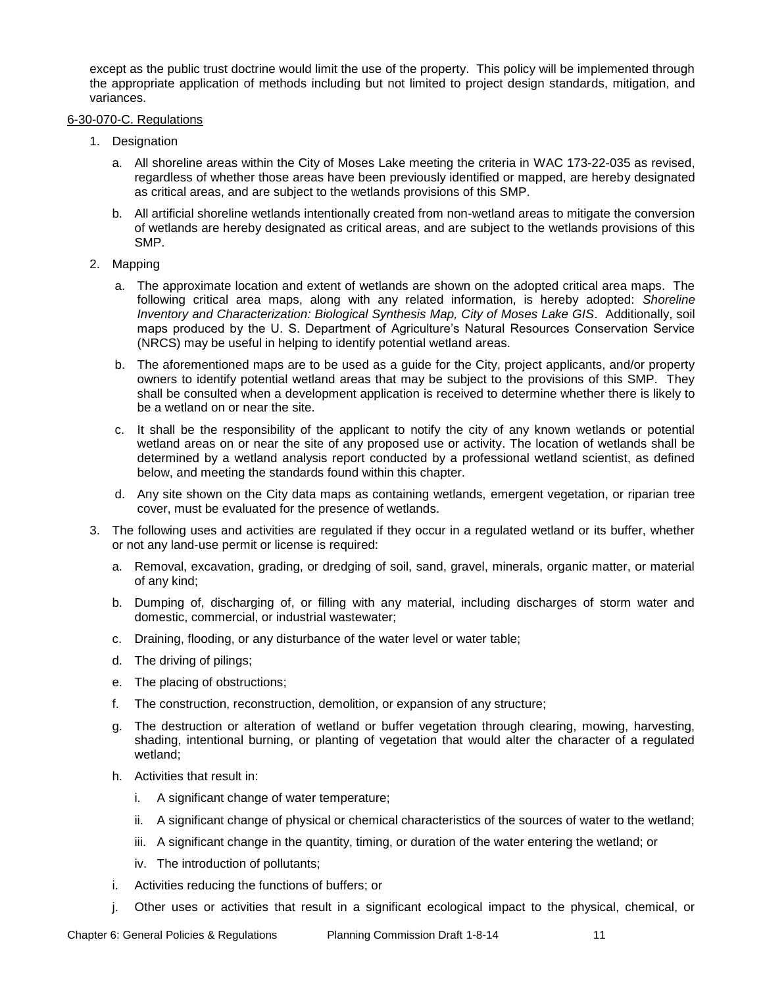except as the public trust doctrine would limit the use of the property. This policy will be implemented through the appropriate application of methods including but not limited to project design standards, mitigation, and variances.

### 6-30-070-C. Regulations

- 1. Designation
	- a. All shoreline areas within the City of Moses Lake meeting the criteria in WAC 173-22-035 as revised, regardless of whether those areas have been previously identified or mapped, are hereby designated as critical areas, and are subject to the wetlands provisions of this SMP.
	- b. All artificial shoreline wetlands intentionally created from non-wetland areas to mitigate the conversion of wetlands are hereby designated as critical areas, and are subject to the wetlands provisions of this SMP.
- 2. Mapping
	- a. The approximate location and extent of wetlands are shown on the adopted critical area maps. The following critical area maps, along with any related information, is hereby adopted: *Shoreline Inventory and Characterization: Biological Synthesis Map, City of Moses Lake GIS*. Additionally, soil maps produced by the U. S. Department of Agriculture's Natural Resources Conservation Service (NRCS) may be useful in helping to identify potential wetland areas.
	- b. The aforementioned maps are to be used as a guide for the City, project applicants, and/or property owners to identify potential wetland areas that may be subject to the provisions of this SMP. They shall be consulted when a development application is received to determine whether there is likely to be a wetland on or near the site.
	- c. It shall be the responsibility of the applicant to notify the city of any known wetlands or potential wetland areas on or near the site of any proposed use or activity. The location of wetlands shall be determined by a wetland analysis report conducted by a professional wetland scientist, as defined below, and meeting the standards found within this chapter.
	- d. Any site shown on the City data maps as containing wetlands, emergent vegetation, or riparian tree cover, must be evaluated for the presence of wetlands.
- 3. The following uses and activities are regulated if they occur in a regulated wetland or its buffer, whether or not any land-use permit or license is required:
	- a. Removal, excavation, grading, or dredging of soil, sand, gravel, minerals, organic matter, or material of any kind;
	- b. Dumping of, discharging of, or filling with any material, including discharges of storm water and domestic, commercial, or industrial wastewater;
	- c. Draining, flooding, or any disturbance of the water level or water table;
	- d. The driving of pilings;
	- e. The placing of obstructions;
	- f. The construction, reconstruction, demolition, or expansion of any structure;
	- g. The destruction or alteration of wetland or buffer vegetation through clearing, mowing, harvesting, shading, intentional burning, or planting of vegetation that would alter the character of a regulated wetland;
	- h. Activities that result in:
		- i. A significant change of water temperature;
		- ii. A significant change of physical or chemical characteristics of the sources of water to the wetland;
		- iii. A significant change in the quantity, timing, or duration of the water entering the wetland; or
		- iv. The introduction of pollutants;
	- i. Activities reducing the functions of buffers; or
	- j. Other uses or activities that result in a significant ecological impact to the physical, chemical, or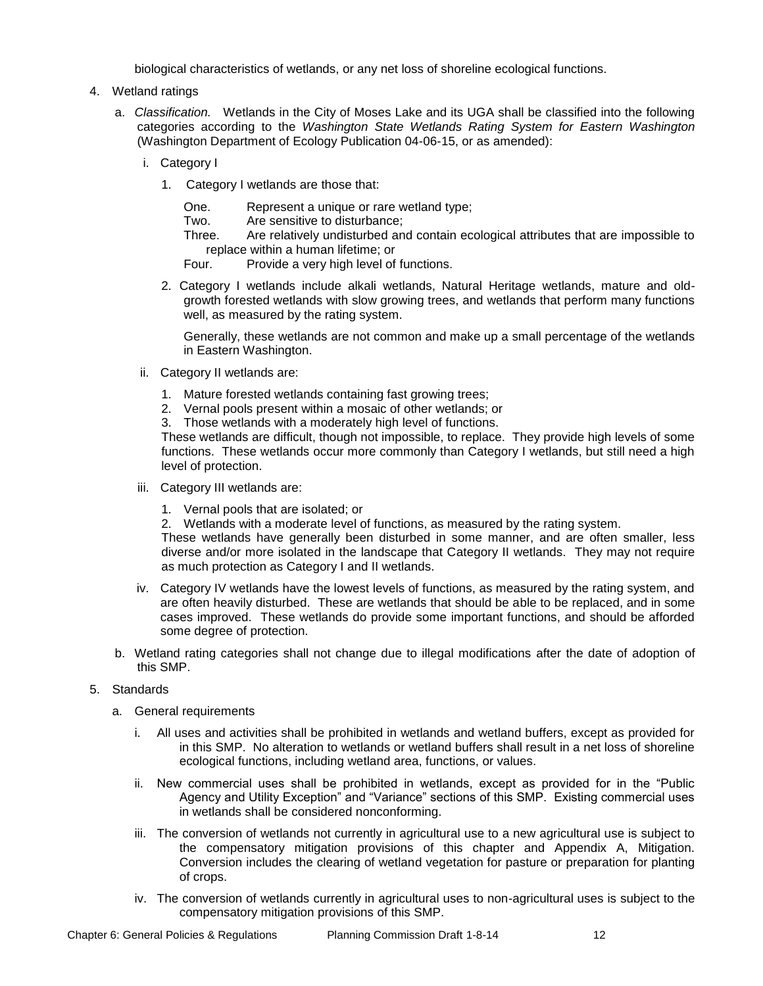biological characteristics of wetlands, or any net loss of shoreline ecological functions.

- 4. Wetland ratings
	- a. *Classification.* Wetlands in the City of Moses Lake and its UGA shall be classified into the following categories according to the *Washington State Wetlands Rating System for Eastern Washington*  (Washington Department of Ecology Publication 04-06-15, or as amended):
		- i. Category I
			- 1. Category I wetlands are those that:

| One. | Represent a unique or rare wetland type; |
|------|------------------------------------------|
|      |                                          |

Two. Are sensitive to disturbance;

Three. Are relatively undisturbed and contain ecological attributes that are impossible to replace within a human lifetime; or

Four. Provide a very high level of functions.

2. Category I wetlands include alkali wetlands, Natural Heritage wetlands, mature and oldgrowth forested wetlands with slow growing trees, and wetlands that perform many functions well, as measured by the rating system.

Generally, these wetlands are not common and make up a small percentage of the wetlands in Eastern Washington.

- ii. Category II wetlands are:
	- 1. Mature forested wetlands containing fast growing trees;
	- 2. Vernal pools present within a mosaic of other wetlands; or
	- 3. Those wetlands with a moderately high level of functions.

These wetlands are difficult, though not impossible, to replace. They provide high levels of some functions. These wetlands occur more commonly than Category I wetlands, but still need a high level of protection.

- iii. Category III wetlands are:
	- 1. Vernal pools that are isolated; or
	- 2. Wetlands with a moderate level of functions, as measured by the rating system.

These wetlands have generally been disturbed in some manner, and are often smaller, less diverse and/or more isolated in the landscape that Category II wetlands. They may not require as much protection as Category I and II wetlands.

- iv. Category IV wetlands have the lowest levels of functions, as measured by the rating system, and are often heavily disturbed. These are wetlands that should be able to be replaced, and in some cases improved. These wetlands do provide some important functions, and should be afforded some degree of protection.
- b. Wetland rating categories shall not change due to illegal modifications after the date of adoption of this SMP.
- 5. Standards
	- a. General requirements
		- i. All uses and activities shall be prohibited in wetlands and wetland buffers, except as provided for in this SMP. No alteration to wetlands or wetland buffers shall result in a net loss of shoreline ecological functions, including wetland area, functions, or values.
		- ii. New commercial uses shall be prohibited in wetlands, except as provided for in the "Public Agency and Utility Exception" and "Variance" sections of this SMP. Existing commercial uses in wetlands shall be considered nonconforming.
		- iii. The conversion of wetlands not currently in agricultural use to a new agricultural use is subject to the compensatory mitigation provisions of this chapter and Appendix A, Mitigation. Conversion includes the clearing of wetland vegetation for pasture or preparation for planting of crops.
		- iv. The conversion of wetlands currently in agricultural uses to non-agricultural uses is subject to the compensatory mitigation provisions of this SMP.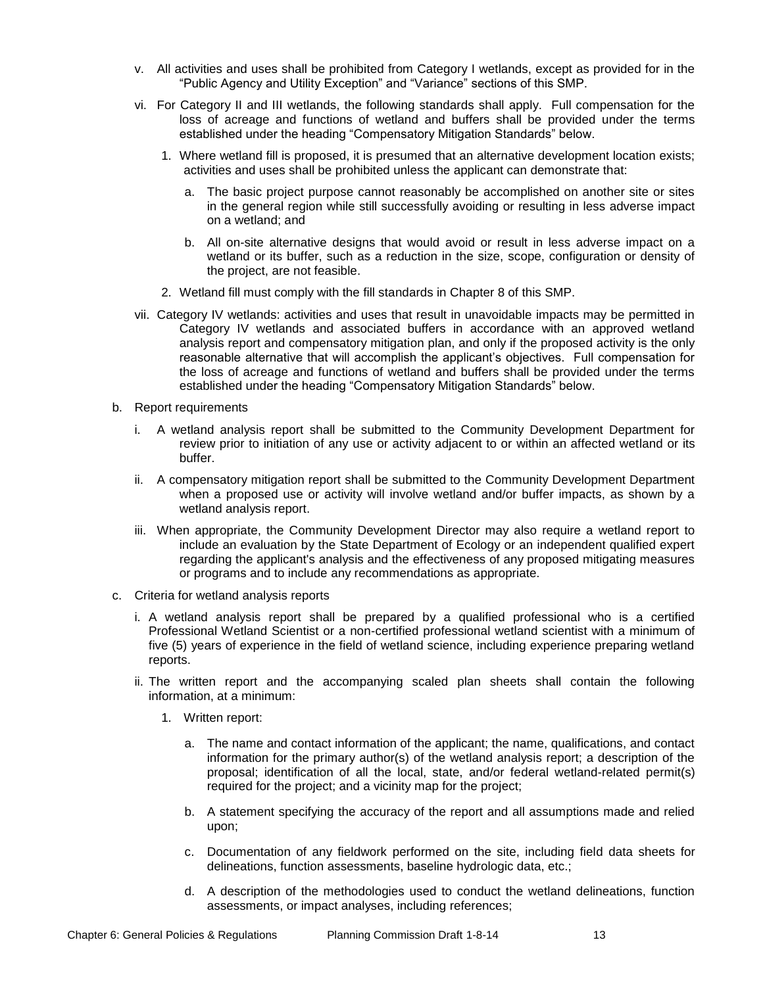- v. All activities and uses shall be prohibited from Category I wetlands, except as provided for in the "Public Agency and Utility Exception" and "Variance" sections of this SMP.
- vi. For Category II and III wetlands, the following standards shall apply. Full compensation for the loss of acreage and functions of wetland and buffers shall be provided under the terms established under the heading "Compensatory Mitigation Standards" below.
	- 1. Where wetland fill is proposed, it is presumed that an alternative development location exists; activities and uses shall be prohibited unless the applicant can demonstrate that:
		- a. The basic project purpose cannot reasonably be accomplished on another site or sites in the general region while still successfully avoiding or resulting in less adverse impact on a wetland; and
		- b. All on-site alternative designs that would avoid or result in less adverse impact on a wetland or its buffer, such as a reduction in the size, scope, configuration or density of the project, are not feasible.
	- 2. Wetland fill must comply with the fill standards in Chapter 8 of this SMP.
- vii. Category IV wetlands: activities and uses that result in unavoidable impacts may be permitted in Category IV wetlands and associated buffers in accordance with an approved wetland analysis report and compensatory mitigation plan, and only if the proposed activity is the only reasonable alternative that will accomplish the applicant's objectives. Full compensation for the loss of acreage and functions of wetland and buffers shall be provided under the terms established under the heading "Compensatory Mitigation Standards" below.
- b. Report requirements
	- i. A wetland analysis report shall be submitted to the Community Development Department for review prior to initiation of any use or activity adjacent to or within an affected wetland or its buffer.
	- ii. A compensatory mitigation report shall be submitted to the Community Development Department when a proposed use or activity will involve wetland and/or buffer impacts, as shown by a wetland analysis report.
	- iii. When appropriate, the Community Development Director may also require a wetland report to include an evaluation by the State Department of Ecology or an independent qualified expert regarding the applicant's analysis and the effectiveness of any proposed mitigating measures or programs and to include any recommendations as appropriate.
- c. Criteria for wetland analysis reports
	- i. A wetland analysis report shall be prepared by a qualified professional who is a certified Professional Wetland Scientist or a non-certified professional wetland scientist with a minimum of five (5) years of experience in the field of wetland science, including experience preparing wetland reports.
	- ii. The written report and the accompanying scaled plan sheets shall contain the following information, at a minimum:
		- 1. Written report:
			- a. The name and contact information of the applicant; the name, qualifications, and contact information for the primary author(s) of the wetland analysis report; a description of the proposal; identification of all the local, state, and/or federal wetland-related permit(s) required for the project; and a vicinity map for the project;
			- b. A statement specifying the accuracy of the report and all assumptions made and relied upon;
			- c. Documentation of any fieldwork performed on the site, including field data sheets for delineations, function assessments, baseline hydrologic data, etc.;
			- d. A description of the methodologies used to conduct the wetland delineations, function assessments, or impact analyses, including references;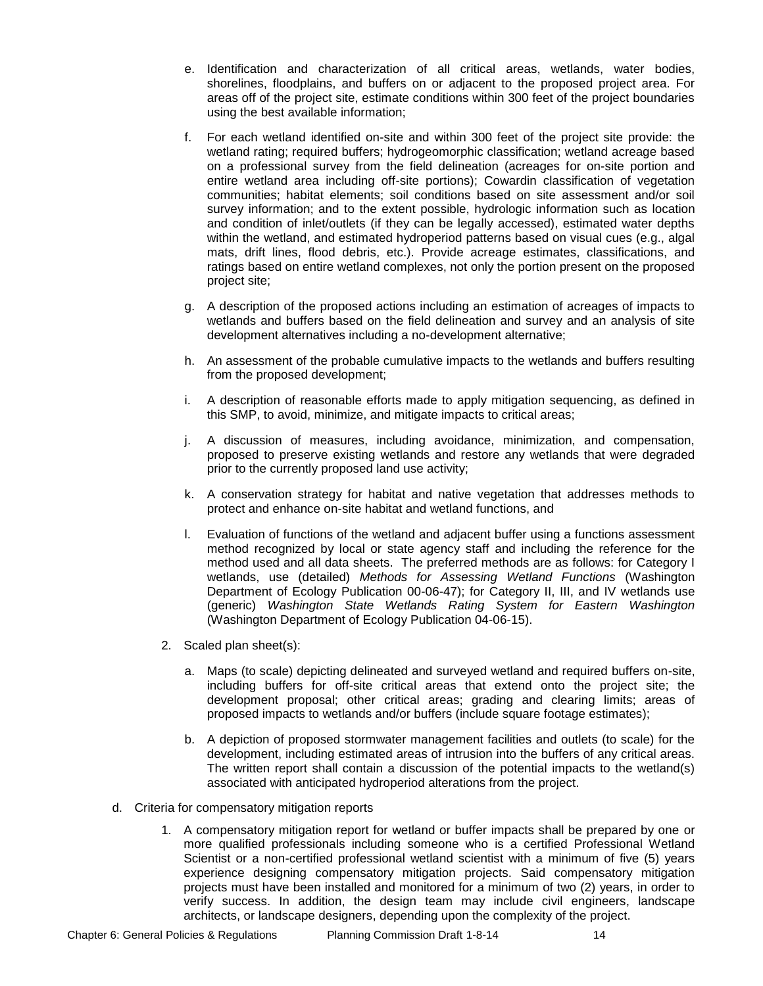- e. Identification and characterization of all critical areas, wetlands, water bodies, shorelines, floodplains, and buffers on or adjacent to the proposed project area. For areas off of the project site, estimate conditions within 300 feet of the project boundaries using the best available information;
- f. For each wetland identified on-site and within 300 feet of the project site provide: the wetland rating; required buffers; hydrogeomorphic classification; wetland acreage based on a professional survey from the field delineation (acreages for on-site portion and entire wetland area including off-site portions); Cowardin classification of vegetation communities; habitat elements; soil conditions based on site assessment and/or soil survey information; and to the extent possible, hydrologic information such as location and condition of inlet/outlets (if they can be legally accessed), estimated water depths within the wetland, and estimated hydroperiod patterns based on visual cues (e.g., algal mats, drift lines, flood debris, etc.). Provide acreage estimates, classifications, and ratings based on entire wetland complexes, not only the portion present on the proposed project site;
- g. A description of the proposed actions including an estimation of acreages of impacts to wetlands and buffers based on the field delineation and survey and an analysis of site development alternatives including a no-development alternative;
- h. An assessment of the probable cumulative impacts to the wetlands and buffers resulting from the proposed development;
- i. A description of reasonable efforts made to apply mitigation sequencing, as defined in this SMP, to avoid, minimize, and mitigate impacts to critical areas;
- j. A discussion of measures, including avoidance, minimization, and compensation, proposed to preserve existing wetlands and restore any wetlands that were degraded prior to the currently proposed land use activity;
- k. A conservation strategy for habitat and native vegetation that addresses methods to protect and enhance on-site habitat and wetland functions, and
- l. Evaluation of functions of the wetland and adjacent buffer using a functions assessment method recognized by local or state agency staff and including the reference for the method used and all data sheets. The preferred methods are as follows: for Category I wetlands, use (detailed) *Methods for Assessing Wetland Functions* (Washington Department of Ecology Publication 00-06-47); for Category II, III, and IV wetlands use (generic) *Washington State Wetlands Rating System for Eastern Washington*  (Washington Department of Ecology Publication 04-06-15).
- 2. Scaled plan sheet(s):
	- a. Maps (to scale) depicting delineated and surveyed wetland and required buffers on-site, including buffers for off-site critical areas that extend onto the project site; the development proposal; other critical areas; grading and clearing limits; areas of proposed impacts to wetlands and/or buffers (include square footage estimates);
	- b. A depiction of proposed stormwater management facilities and outlets (to scale) for the development, including estimated areas of intrusion into the buffers of any critical areas. The written report shall contain a discussion of the potential impacts to the wetland(s) associated with anticipated hydroperiod alterations from the project.
- d. Criteria for compensatory mitigation reports
	- 1. A compensatory mitigation report for wetland or buffer impacts shall be prepared by one or more qualified professionals including someone who is a certified Professional Wetland Scientist or a non-certified professional wetland scientist with a minimum of five (5) years experience designing compensatory mitigation projects. Said compensatory mitigation projects must have been installed and monitored for a minimum of two (2) years, in order to verify success. In addition, the design team may include civil engineers, landscape architects, or landscape designers, depending upon the complexity of the project.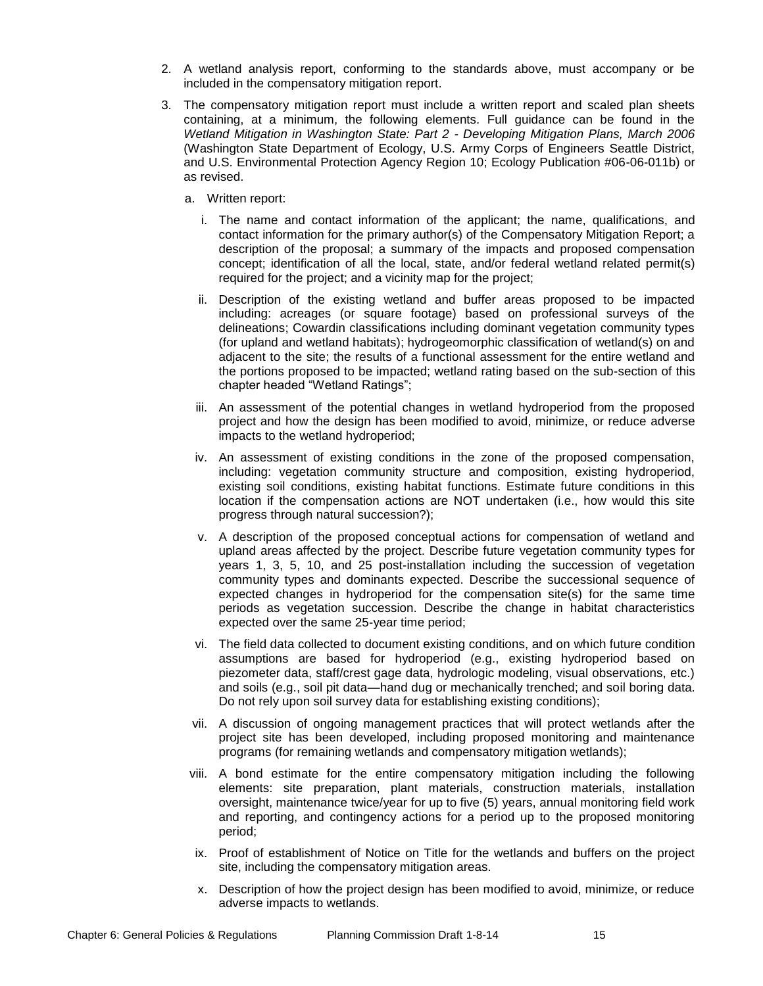- 2. A wetland analysis report, conforming to the standards above, must accompany or be included in the compensatory mitigation report.
- 3. The compensatory mitigation report must include a written report and scaled plan sheets containing, at a minimum, the following elements. Full guidance can be found in the *Wetland Mitigation in Washington State: Part 2 - Developing Mitigation Plans, March 2006*  (Washington State Department of Ecology, U.S. Army Corps of Engineers Seattle District, and U.S. Environmental Protection Agency Region 10; Ecology Publication #06-06-011b) or as revised.
	- a. Written report:
		- i. The name and contact information of the applicant; the name, qualifications, and contact information for the primary author(s) of the Compensatory Mitigation Report; a description of the proposal; a summary of the impacts and proposed compensation concept; identification of all the local, state, and/or federal wetland related permit(s) required for the project; and a vicinity map for the project;
		- ii. Description of the existing wetland and buffer areas proposed to be impacted including: acreages (or square footage) based on professional surveys of the delineations; Cowardin classifications including dominant vegetation community types (for upland and wetland habitats); hydrogeomorphic classification of wetland(s) on and adjacent to the site; the results of a functional assessment for the entire wetland and the portions proposed to be impacted; wetland rating based on the sub-section of this chapter headed "Wetland Ratings";
		- iii. An assessment of the potential changes in wetland hydroperiod from the proposed project and how the design has been modified to avoid, minimize, or reduce adverse impacts to the wetland hydroperiod;
		- iv. An assessment of existing conditions in the zone of the proposed compensation, including: vegetation community structure and composition, existing hydroperiod, existing soil conditions, existing habitat functions. Estimate future conditions in this location if the compensation actions are NOT undertaken (i.e., how would this site progress through natural succession?);
		- v. A description of the proposed conceptual actions for compensation of wetland and upland areas affected by the project. Describe future vegetation community types for years 1, 3, 5, 10, and 25 post-installation including the succession of vegetation community types and dominants expected. Describe the successional sequence of expected changes in hydroperiod for the compensation site(s) for the same time periods as vegetation succession. Describe the change in habitat characteristics expected over the same 25-year time period;
		- vi. The field data collected to document existing conditions, and on which future condition assumptions are based for hydroperiod (e.g., existing hydroperiod based on piezometer data, staff/crest gage data, hydrologic modeling, visual observations, etc.) and soils (e.g., soil pit data—hand dug or mechanically trenched; and soil boring data. Do not rely upon soil survey data for establishing existing conditions);
	- vii. A discussion of ongoing management practices that will protect wetlands after the project site has been developed, including proposed monitoring and maintenance programs (for remaining wetlands and compensatory mitigation wetlands);
	- viii. A bond estimate for the entire compensatory mitigation including the following elements: site preparation, plant materials, construction materials, installation oversight, maintenance twice/year for up to five (5) years, annual monitoring field work and reporting, and contingency actions for a period up to the proposed monitoring period;
	- ix. Proof of establishment of Notice on Title for the wetlands and buffers on the project site, including the compensatory mitigation areas.
	- x. Description of how the project design has been modified to avoid, minimize, or reduce adverse impacts to wetlands.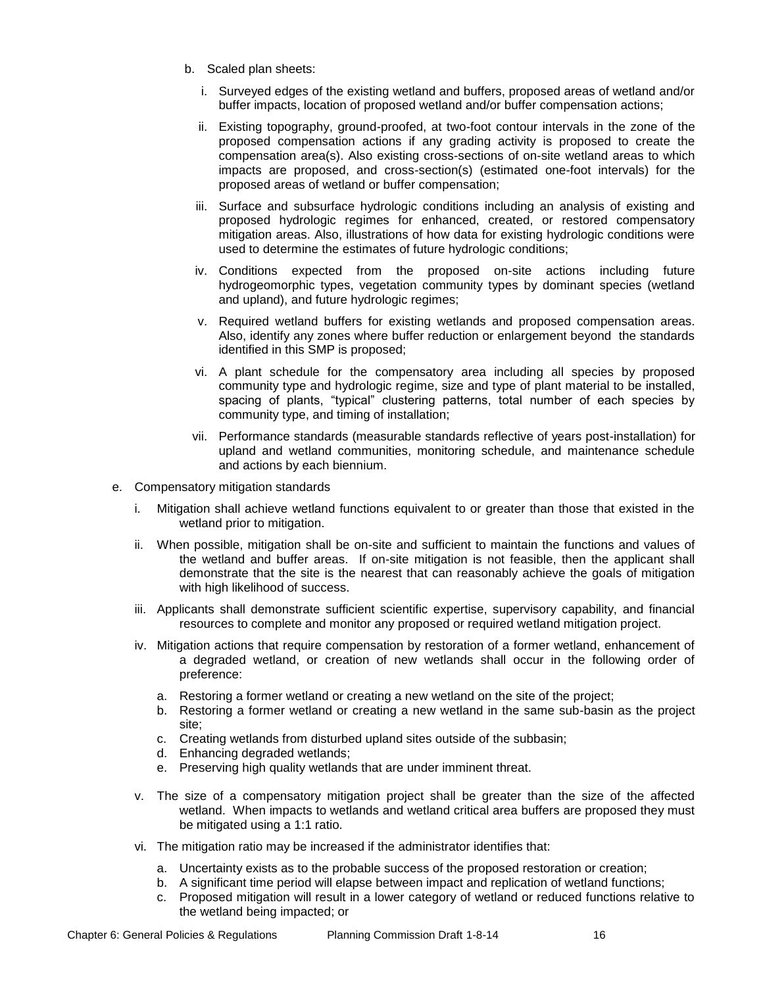- b. Scaled plan sheets:
	- i. Surveyed edges of the existing wetland and buffers, proposed areas of wetland and/or buffer impacts, location of proposed wetland and/or buffer compensation actions;
	- ii. Existing topography, ground-proofed, at two-foot contour intervals in the zone of the proposed compensation actions if any grading activity is proposed to create the compensation area(s). Also existing cross-sections of on-site wetland areas to which impacts are proposed, and cross-section(s) (estimated one-foot intervals) for the proposed areas of wetland or buffer compensation;
	- iii. Surface and subsurface hydrologic conditions including an analysis of existing and proposed hydrologic regimes for enhanced, created, or restored compensatory mitigation areas. Also, illustrations of how data for existing hydrologic conditions were used to determine the estimates of future hydrologic conditions;
	- iv. Conditions expected from the proposed on-site actions including future hydrogeomorphic types, vegetation community types by dominant species (wetland and upland), and future hydrologic regimes;
	- v. Required wetland buffers for existing wetlands and proposed compensation areas. Also, identify any zones where buffer reduction or enlargement beyond the standards identified in this SMP is proposed;
	- vi. A plant schedule for the compensatory area including all species by proposed community type and hydrologic regime, size and type of plant material to be installed, spacing of plants, "typical" clustering patterns, total number of each species by community type, and timing of installation;
	- vii. Performance standards (measurable standards reflective of years post-installation) for upland and wetland communities, monitoring schedule, and maintenance schedule and actions by each biennium.
- e. Compensatory mitigation standards
	- i. Mitigation shall achieve wetland functions equivalent to or greater than those that existed in the wetland prior to mitigation.
	- ii. When possible, mitigation shall be on-site and sufficient to maintain the functions and values of the wetland and buffer areas. If on-site mitigation is not feasible, then the applicant shall demonstrate that the site is the nearest that can reasonably achieve the goals of mitigation with high likelihood of success.
	- iii. Applicants shall demonstrate sufficient scientific expertise, supervisory capability, and financial resources to complete and monitor any proposed or required wetland mitigation project.
	- iv. Mitigation actions that require compensation by restoration of a former wetland, enhancement of a degraded wetland, or creation of new wetlands shall occur in the following order of preference:
		- a. Restoring a former wetland or creating a new wetland on the site of the project;
		- b. Restoring a former wetland or creating a new wetland in the same sub-basin as the project site;
		- c. Creating wetlands from disturbed upland sites outside of the subbasin;
		- d. Enhancing degraded wetlands;
		- e. Preserving high quality wetlands that are under imminent threat.
	- v. The size of a compensatory mitigation project shall be greater than the size of the affected wetland. When impacts to wetlands and wetland critical area buffers are proposed they must be mitigated using a 1:1 ratio.
	- vi. The mitigation ratio may be increased if the administrator identifies that:
		- a. Uncertainty exists as to the probable success of the proposed restoration or creation;
		- b. A significant time period will elapse between impact and replication of wetland functions;
		- c. Proposed mitigation will result in a lower category of wetland or reduced functions relative to the wetland being impacted; or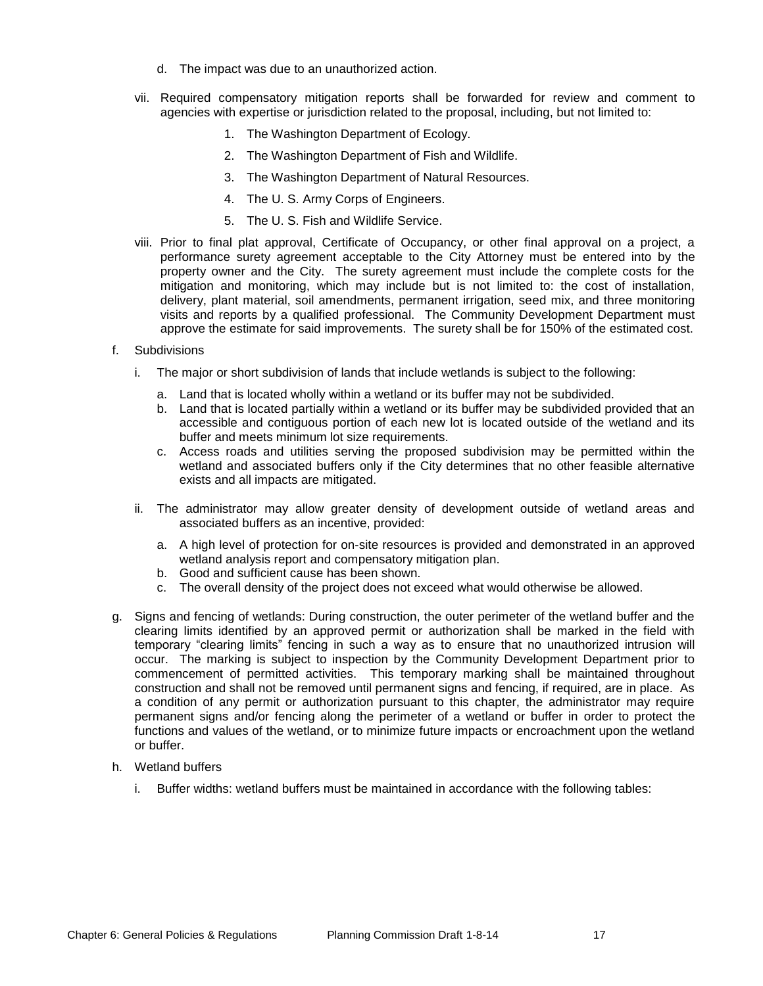- d. The impact was due to an unauthorized action.
- vii. Required compensatory mitigation reports shall be forwarded for review and comment to agencies with expertise or jurisdiction related to the proposal, including, but not limited to:
	- 1. The Washington Department of Ecology.
	- 2. The Washington Department of Fish and Wildlife.
	- 3. The Washington Department of Natural Resources.
	- 4. The U. S. Army Corps of Engineers.
	- 5. The U. S. Fish and Wildlife Service.
- viii. Prior to final plat approval, Certificate of Occupancy, or other final approval on a project, a performance surety agreement acceptable to the City Attorney must be entered into by the property owner and the City. The surety agreement must include the complete costs for the mitigation and monitoring, which may include but is not limited to: the cost of installation, delivery, plant material, soil amendments, permanent irrigation, seed mix, and three monitoring visits and reports by a qualified professional. The Community Development Department must approve the estimate for said improvements. The surety shall be for 150% of the estimated cost.
- f. Subdivisions
	- i. The major or short subdivision of lands that include wetlands is subject to the following:
		- a. Land that is located wholly within a wetland or its buffer may not be subdivided.
		- b. Land that is located partially within a wetland or its buffer may be subdivided provided that an accessible and contiguous portion of each new lot is located outside of the wetland and its buffer and meets minimum lot size requirements.
		- c. Access roads and utilities serving the proposed subdivision may be permitted within the wetland and associated buffers only if the City determines that no other feasible alternative exists and all impacts are mitigated.
	- ii. The administrator may allow greater density of development outside of wetland areas and associated buffers as an incentive, provided:
		- a. A high level of protection for on-site resources is provided and demonstrated in an approved wetland analysis report and compensatory mitigation plan.
		- b. Good and sufficient cause has been shown.
		- c. The overall density of the project does not exceed what would otherwise be allowed.
- g. Signs and fencing of wetlands: During construction, the outer perimeter of the wetland buffer and the clearing limits identified by an approved permit or authorization shall be marked in the field with temporary "clearing limits" fencing in such a way as to ensure that no unauthorized intrusion will occur. The marking is subject to inspection by the Community Development Department prior to commencement of permitted activities. This temporary marking shall be maintained throughout construction and shall not be removed until permanent signs and fencing, if required, are in place. As a condition of any permit or authorization pursuant to this chapter, the administrator may require permanent signs and/or fencing along the perimeter of a wetland or buffer in order to protect the functions and values of the wetland, or to minimize future impacts or encroachment upon the wetland or buffer.
- h. Wetland buffers
	- i. Buffer widths: wetland buffers must be maintained in accordance with the following tables: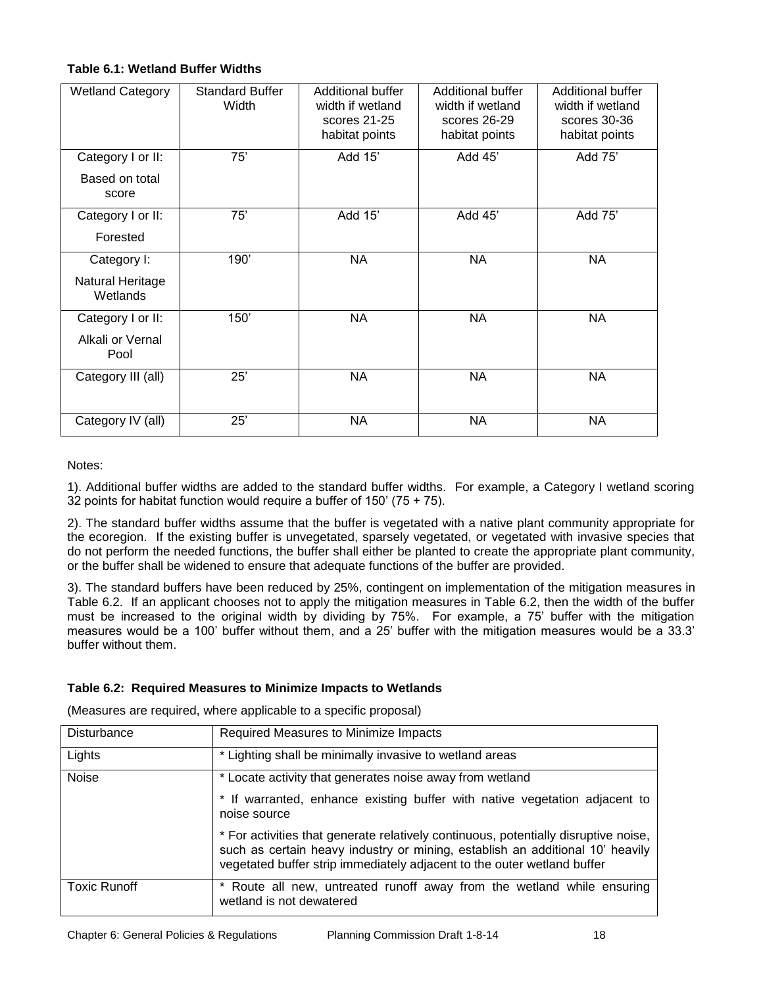## **Table 6.1: Wetland Buffer Widths**

| <b>Wetland Category</b>                      | <b>Standard Buffer</b><br>Width | Additional buffer<br>width if wetland<br>scores 21-25<br>habitat points | Additional buffer<br>width if wetland<br>scores 26-29<br>habitat points | Additional buffer<br>width if wetland<br>scores 30-36<br>habitat points |
|----------------------------------------------|---------------------------------|-------------------------------------------------------------------------|-------------------------------------------------------------------------|-------------------------------------------------------------------------|
|                                              | 75'                             | Add 15'                                                                 | Add 45'                                                                 | Add 75'                                                                 |
| Category I or II:<br>Based on total<br>score |                                 |                                                                         |                                                                         |                                                                         |
| Category I or II:                            | 75'                             | Add 15'                                                                 | Add 45'                                                                 | Add 75'                                                                 |
| Forested                                     |                                 |                                                                         |                                                                         |                                                                         |
| Category I:                                  | 190'                            | NA                                                                      | NA                                                                      | <b>NA</b>                                                               |
| Natural Heritage<br>Wetlands                 |                                 |                                                                         |                                                                         |                                                                         |
| Category I or II:                            | 150'                            | <b>NA</b>                                                               | <b>NA</b>                                                               | <b>NA</b>                                                               |
| Alkali or Vernal<br>Pool                     |                                 |                                                                         |                                                                         |                                                                         |
| Category III (all)                           | 25'                             | <b>NA</b>                                                               | <b>NA</b>                                                               | <b>NA</b>                                                               |
| Category IV (all)                            | 25'                             | <b>NA</b>                                                               | <b>NA</b>                                                               | <b>NA</b>                                                               |

Notes:

1). Additional buffer widths are added to the standard buffer widths. For example, a Category I wetland scoring 32 points for habitat function would require a buffer of 150' (75 + 75).

2). The standard buffer widths assume that the buffer is vegetated with a native plant community appropriate for the ecoregion. If the existing buffer is unvegetated, sparsely vegetated, or vegetated with invasive species that do not perform the needed functions, the buffer shall either be planted to create the appropriate plant community, or the buffer shall be widened to ensure that adequate functions of the buffer are provided.

3). The standard buffers have been reduced by 25%, contingent on implementation of the mitigation measures in Table 6.2. If an applicant chooses not to apply the mitigation measures in Table 6.2, then the width of the buffer must be increased to the original width by dividing by 75%. For example, a 75' buffer with the mitigation measures would be a 100' buffer without them, and a 25' buffer with the mitigation measures would be a 33.3' buffer without them.

### **Table 6.2: Required Measures to Minimize Impacts to Wetlands**

(Measures are required, where applicable to a specific proposal)

| Disturbance         | Required Measures to Minimize Impacts                                                                                                                                                                                                           |  |  |
|---------------------|-------------------------------------------------------------------------------------------------------------------------------------------------------------------------------------------------------------------------------------------------|--|--|
| Lights              | * Lighting shall be minimally invasive to wetland areas                                                                                                                                                                                         |  |  |
| <b>Noise</b>        | * Locate activity that generates noise away from wetland                                                                                                                                                                                        |  |  |
|                     | * If warranted, enhance existing buffer with native vegetation adjacent to<br>noise source                                                                                                                                                      |  |  |
|                     | * For activities that generate relatively continuous, potentially disruptive noise,<br>such as certain heavy industry or mining, establish an additional 10' heavily<br>vegetated buffer strip immediately adjacent to the outer wetland buffer |  |  |
| <b>Toxic Runoff</b> | Route all new, untreated runoff away from the wetland while ensuring<br>wetland is not dewatered                                                                                                                                                |  |  |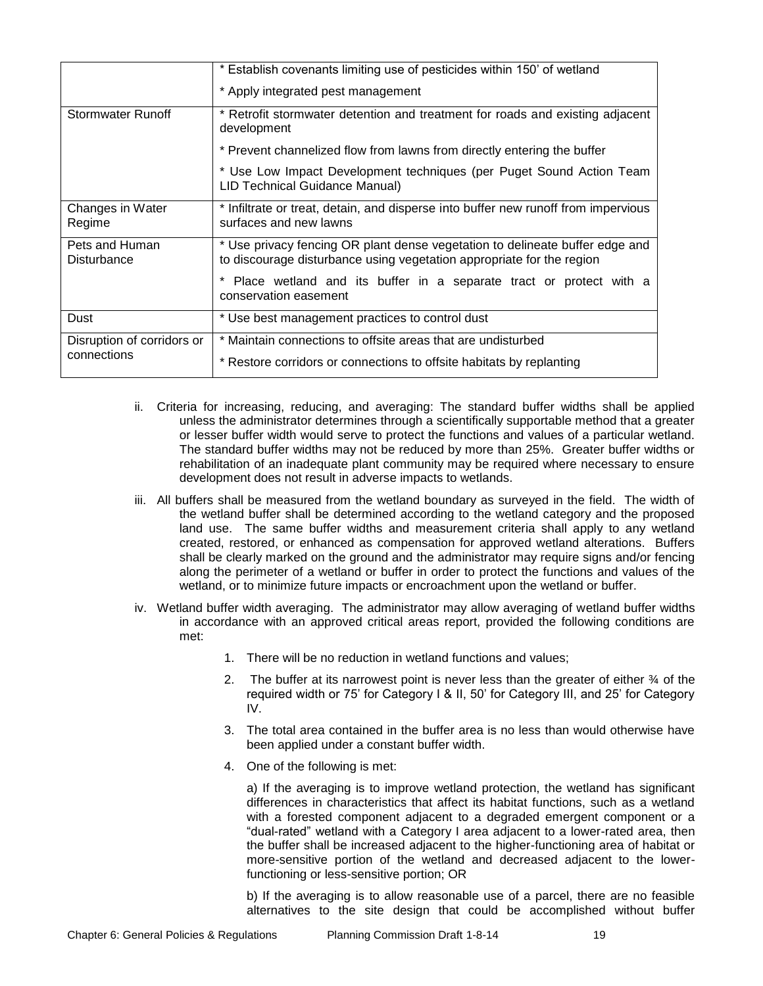|                                      | * Establish covenants limiting use of pesticides within 150' of wetland<br>* Apply integrated pest management                                         |  |  |
|--------------------------------------|-------------------------------------------------------------------------------------------------------------------------------------------------------|--|--|
| Stormwater Runoff                    | * Retrofit stormwater detention and treatment for roads and existing adjacent<br>development                                                          |  |  |
|                                      | * Prevent channelized flow from lawns from directly entering the buffer                                                                               |  |  |
|                                      | * Use Low Impact Development techniques (per Puget Sound Action Team<br>LID Technical Guidance Manual)                                                |  |  |
| Changes in Water<br>Regime           | * Infiltrate or treat, detain, and disperse into buffer new runoff from impervious<br>surfaces and new lawns                                          |  |  |
| Pets and Human<br><b>Disturbance</b> | * Use privacy fencing OR plant dense vegetation to delineate buffer edge and<br>to discourage disturbance using vegetation appropriate for the region |  |  |
|                                      | Place wetland and its buffer in a separate tract or protect with a<br>conservation easement                                                           |  |  |
| Dust                                 | * Use best management practices to control dust                                                                                                       |  |  |
| Disruption of corridors or           | * Maintain connections to offsite areas that are undisturbed                                                                                          |  |  |
| connections                          | * Restore corridors or connections to offsite habitats by replanting                                                                                  |  |  |

- ii. Criteria for increasing, reducing, and averaging: The standard buffer widths shall be applied unless the administrator determines through a scientifically supportable method that a greater or lesser buffer width would serve to protect the functions and values of a particular wetland. The standard buffer widths may not be reduced by more than 25%. Greater buffer widths or rehabilitation of an inadequate plant community may be required where necessary to ensure development does not result in adverse impacts to wetlands.
- iii. All buffers shall be measured from the wetland boundary as surveyed in the field. The width of the wetland buffer shall be determined according to the wetland category and the proposed land use. The same buffer widths and measurement criteria shall apply to any wetland created, restored, or enhanced as compensation for approved wetland alterations. Buffers shall be clearly marked on the ground and the administrator may require signs and/or fencing along the perimeter of a wetland or buffer in order to protect the functions and values of the wetland, or to minimize future impacts or encroachment upon the wetland or buffer.
- iv. Wetland buffer width averaging. The administrator may allow averaging of wetland buffer widths in accordance with an approved critical areas report, provided the following conditions are met:
	- 1. There will be no reduction in wetland functions and values;
	- 2. The buffer at its narrowest point is never less than the greater of either  $\frac{3}{4}$  of the required width or 75' for Category I & II, 50' for Category III, and 25' for Category IV.
	- 3. The total area contained in the buffer area is no less than would otherwise have been applied under a constant buffer width.
	- 4. One of the following is met:

a) If the averaging is to improve wetland protection, the wetland has significant differences in characteristics that affect its habitat functions, such as a wetland with a forested component adjacent to a degraded emergent component or a "dual-rated" wetland with a Category I area adjacent to a lower-rated area, then the buffer shall be increased adjacent to the higher-functioning area of habitat or more-sensitive portion of the wetland and decreased adjacent to the lowerfunctioning or less-sensitive portion; OR

b) If the averaging is to allow reasonable use of a parcel, there are no feasible alternatives to the site design that could be accomplished without buffer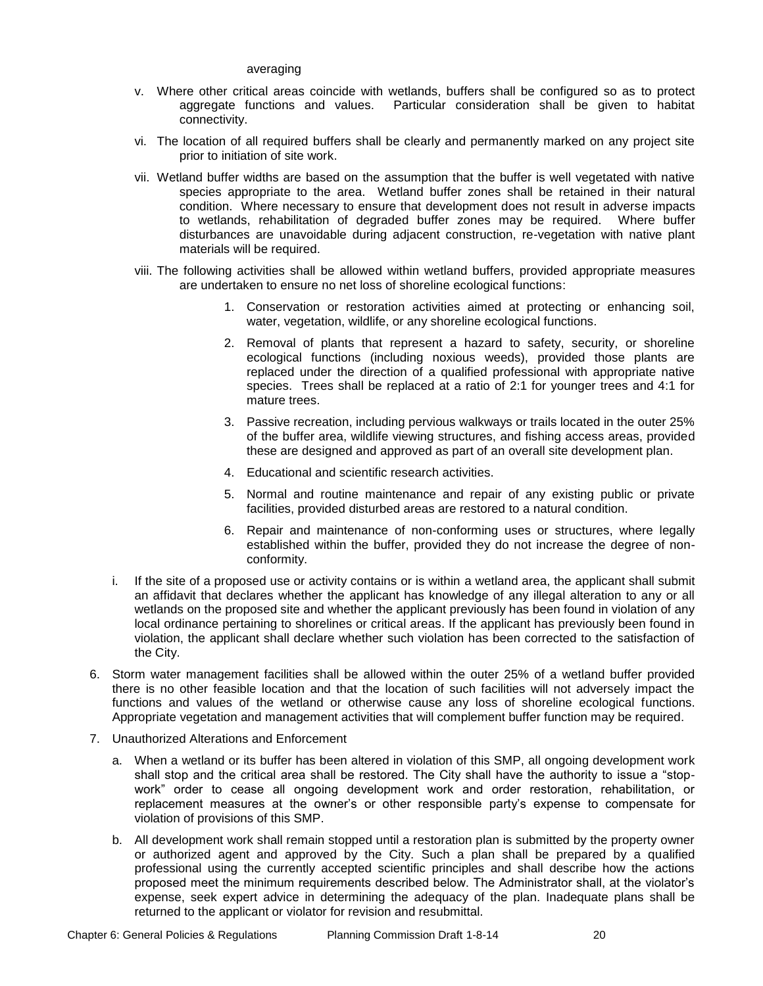#### averaging

- v. Where other critical areas coincide with wetlands, buffers shall be configured so as to protect aggregate functions and values. Particular consideration shall be given to habitat connectivity.
- vi. The location of all required buffers shall be clearly and permanently marked on any project site prior to initiation of site work.
- vii. Wetland buffer widths are based on the assumption that the buffer is well vegetated with native species appropriate to the area. Wetland buffer zones shall be retained in their natural condition. Where necessary to ensure that development does not result in adverse impacts to wetlands, rehabilitation of degraded buffer zones may be required. Where buffer disturbances are unavoidable during adjacent construction, re-vegetation with native plant materials will be required.
- viii. The following activities shall be allowed within wetland buffers, provided appropriate measures are undertaken to ensure no net loss of shoreline ecological functions:
	- 1. Conservation or restoration activities aimed at protecting or enhancing soil, water, vegetation, wildlife, or any shoreline ecological functions.
	- 2. Removal of plants that represent a hazard to safety, security, or shoreline ecological functions (including noxious weeds), provided those plants are replaced under the direction of a qualified professional with appropriate native species. Trees shall be replaced at a ratio of 2:1 for younger trees and 4:1 for mature trees.
	- 3. Passive recreation, including pervious walkways or trails located in the outer 25% of the buffer area, wildlife viewing structures, and fishing access areas, provided these are designed and approved as part of an overall site development plan.
	- 4. Educational and scientific research activities.
	- 5. Normal and routine maintenance and repair of any existing public or private facilities, provided disturbed areas are restored to a natural condition.
	- 6. Repair and maintenance of non-conforming uses or structures, where legally established within the buffer, provided they do not increase the degree of nonconformity.
- i. If the site of a proposed use or activity contains or is within a wetland area, the applicant shall submit an affidavit that declares whether the applicant has knowledge of any illegal alteration to any or all wetlands on the proposed site and whether the applicant previously has been found in violation of any local ordinance pertaining to shorelines or critical areas. If the applicant has previously been found in violation, the applicant shall declare whether such violation has been corrected to the satisfaction of the City.
- 6. Storm water management facilities shall be allowed within the outer 25% of a wetland buffer provided there is no other feasible location and that the location of such facilities will not adversely impact the functions and values of the wetland or otherwise cause any loss of shoreline ecological functions. Appropriate vegetation and management activities that will complement buffer function may be required.
- 7. Unauthorized Alterations and Enforcement
	- a. When a wetland or its buffer has been altered in violation of this SMP, all ongoing development work shall stop and the critical area shall be restored. The City shall have the authority to issue a "stopwork" order to cease all ongoing development work and order restoration, rehabilitation, or replacement measures at the owner's or other responsible party's expense to compensate for violation of provisions of this SMP.
	- b. All development work shall remain stopped until a restoration plan is submitted by the property owner or authorized agent and approved by the City. Such a plan shall be prepared by a qualified professional using the currently accepted scientific principles and shall describe how the actions proposed meet the minimum requirements described below. The Administrator shall, at the violator's expense, seek expert advice in determining the adequacy of the plan. Inadequate plans shall be returned to the applicant or violator for revision and resubmittal.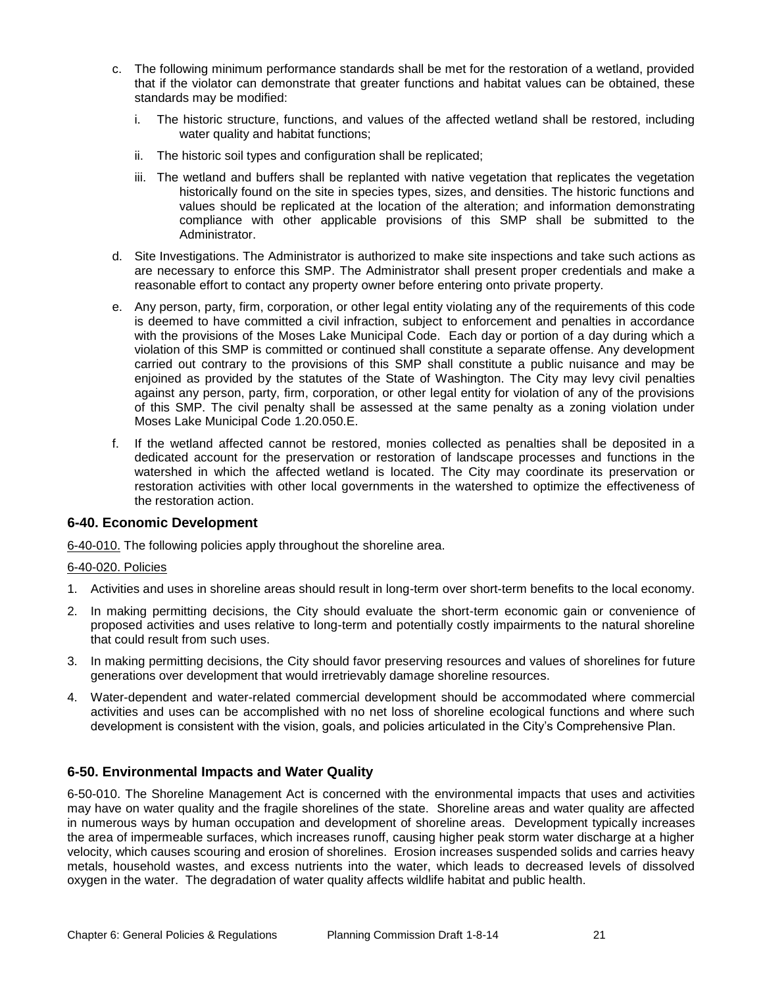- c. The following minimum performance standards shall be met for the restoration of a wetland, provided that if the violator can demonstrate that greater functions and habitat values can be obtained, these standards may be modified:
	- i. The historic structure, functions, and values of the affected wetland shall be restored, including water quality and habitat functions;
	- ii. The historic soil types and configuration shall be replicated;
	- iii. The wetland and buffers shall be replanted with native vegetation that replicates the vegetation historically found on the site in species types, sizes, and densities. The historic functions and values should be replicated at the location of the alteration; and information demonstrating compliance with other applicable provisions of this SMP shall be submitted to the Administrator.
- d. Site Investigations. The Administrator is authorized to make site inspections and take such actions as are necessary to enforce this SMP. The Administrator shall present proper credentials and make a reasonable effort to contact any property owner before entering onto private property.
- e. Any person, party, firm, corporation, or other legal entity violating any of the requirements of this code is deemed to have committed a civil infraction, subject to enforcement and penalties in accordance with the provisions of the Moses Lake Municipal Code. Each day or portion of a day during which a violation of this SMP is committed or continued shall constitute a separate offense. Any development carried out contrary to the provisions of this SMP shall constitute a public nuisance and may be enjoined as provided by the statutes of the State of Washington. The City may levy civil penalties against any person, party, firm, corporation, or other legal entity for violation of any of the provisions of this SMP. The civil penalty shall be assessed at the same penalty as a zoning violation under Moses Lake Municipal Code 1.20.050.E.
- f. If the wetland affected cannot be restored, monies collected as penalties shall be deposited in a dedicated account for the preservation or restoration of landscape processes and functions in the watershed in which the affected wetland is located. The City may coordinate its preservation or restoration activities with other local governments in the watershed to optimize the effectiveness of the restoration action.

### **6-40. Economic Development**

6-40-010. The following policies apply throughout the shoreline area.

### 6-40-020. Policies

- 1. Activities and uses in shoreline areas should result in long-term over short-term benefits to the local economy.
- 2. In making permitting decisions, the City should evaluate the short-term economic gain or convenience of proposed activities and uses relative to long-term and potentially costly impairments to the natural shoreline that could result from such uses.
- 3. In making permitting decisions, the City should favor preserving resources and values of shorelines for future generations over development that would irretrievably damage shoreline resources.
- 4. Water-dependent and water-related commercial development should be accommodated where commercial activities and uses can be accomplished with no net loss of shoreline ecological functions and where such development is consistent with the vision, goals, and policies articulated in the City's Comprehensive Plan.

### **6-50. Environmental Impacts and Water Quality**

6-50-010. The Shoreline Management Act is concerned with the environmental impacts that uses and activities may have on water quality and the fragile shorelines of the state. Shoreline areas and water quality are affected in numerous ways by human occupation and development of shoreline areas. Development typically increases the area of impermeable surfaces, which increases runoff, causing higher peak storm water discharge at a higher velocity, which causes scouring and erosion of shorelines. Erosion increases suspended solids and carries heavy metals, household wastes, and excess nutrients into the water, which leads to decreased levels of dissolved oxygen in the water. The degradation of water quality affects wildlife habitat and public health.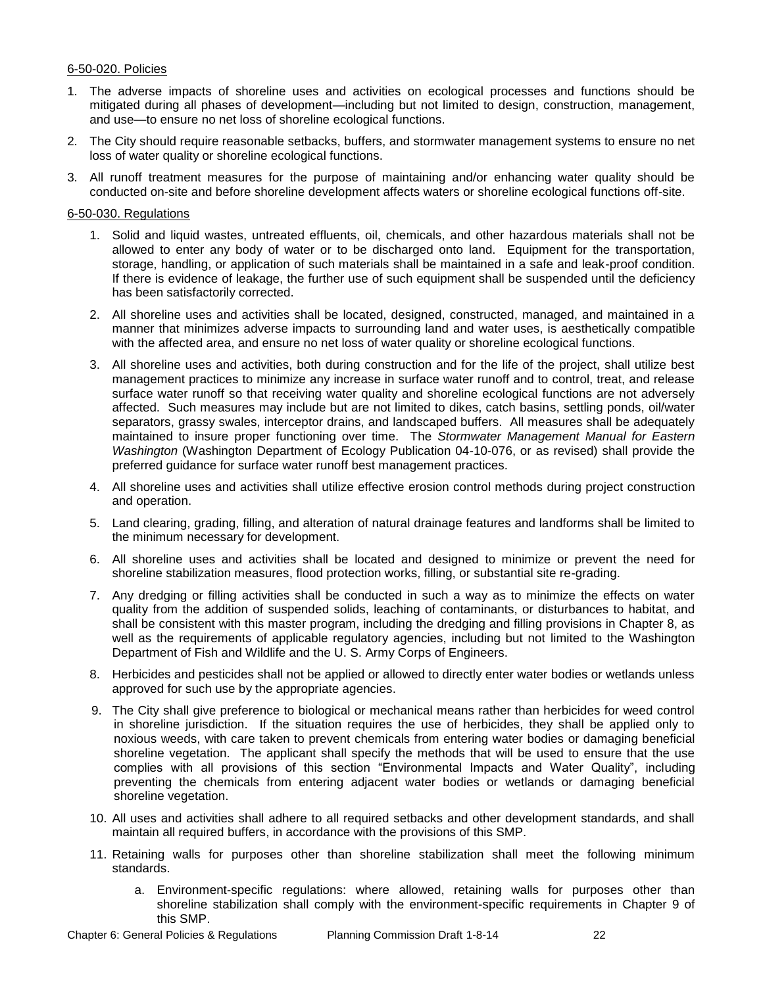### 6-50-020. Policies

- 1. The adverse impacts of shoreline uses and activities on ecological processes and functions should be mitigated during all phases of development—including but not limited to design, construction, management, and use—to ensure no net loss of shoreline ecological functions.
- 2. The City should require reasonable setbacks, buffers, and stormwater management systems to ensure no net loss of water quality or shoreline ecological functions.
- 3. All runoff treatment measures for the purpose of maintaining and/or enhancing water quality should be conducted on-site and before shoreline development affects waters or shoreline ecological functions off-site.

#### 6-50-030. Regulations

- 1. Solid and liquid wastes, untreated effluents, oil, chemicals, and other hazardous materials shall not be allowed to enter any body of water or to be discharged onto land. Equipment for the transportation, storage, handling, or application of such materials shall be maintained in a safe and leak-proof condition. If there is evidence of leakage, the further use of such equipment shall be suspended until the deficiency has been satisfactorily corrected.
- 2. All shoreline uses and activities shall be located, designed, constructed, managed, and maintained in a manner that minimizes adverse impacts to surrounding land and water uses, is aesthetically compatible with the affected area, and ensure no net loss of water quality or shoreline ecological functions.
- 3. All shoreline uses and activities, both during construction and for the life of the project, shall utilize best management practices to minimize any increase in surface water runoff and to control, treat, and release surface water runoff so that receiving water quality and shoreline ecological functions are not adversely affected. Such measures may include but are not limited to dikes, catch basins, settling ponds, oil/water separators, grassy swales, interceptor drains, and landscaped buffers. All measures shall be adequately maintained to insure proper functioning over time. The *Stormwater Management Manual for Eastern Washington* (Washington Department of Ecology Publication 04-10-076, or as revised) shall provide the preferred guidance for surface water runoff best management practices.
- 4. All shoreline uses and activities shall utilize effective erosion control methods during project construction and operation.
- 5. Land clearing, grading, filling, and alteration of natural drainage features and landforms shall be limited to the minimum necessary for development.
- 6. All shoreline uses and activities shall be located and designed to minimize or prevent the need for shoreline stabilization measures, flood protection works, filling, or substantial site re-grading.
- 7. Any dredging or filling activities shall be conducted in such a way as to minimize the effects on water quality from the addition of suspended solids, leaching of contaminants, or disturbances to habitat, and shall be consistent with this master program, including the dredging and filling provisions in Chapter 8, as well as the requirements of applicable regulatory agencies, including but not limited to the Washington Department of Fish and Wildlife and the U. S. Army Corps of Engineers.
- 8. Herbicides and pesticides shall not be applied or allowed to directly enter water bodies or wetlands unless approved for such use by the appropriate agencies.
- 9. The City shall give preference to biological or mechanical means rather than herbicides for weed control in shoreline jurisdiction. If the situation requires the use of herbicides, they shall be applied only to noxious weeds, with care taken to prevent chemicals from entering water bodies or damaging beneficial shoreline vegetation. The applicant shall specify the methods that will be used to ensure that the use complies with all provisions of this section "Environmental Impacts and Water Quality", including preventing the chemicals from entering adjacent water bodies or wetlands or damaging beneficial shoreline vegetation.
- 10. All uses and activities shall adhere to all required setbacks and other development standards, and shall maintain all required buffers, in accordance with the provisions of this SMP.
- 11. Retaining walls for purposes other than shoreline stabilization shall meet the following minimum standards.
	- a. Environment-specific regulations: where allowed, retaining walls for purposes other than shoreline stabilization shall comply with the environment-specific requirements in Chapter 9 of this SMP.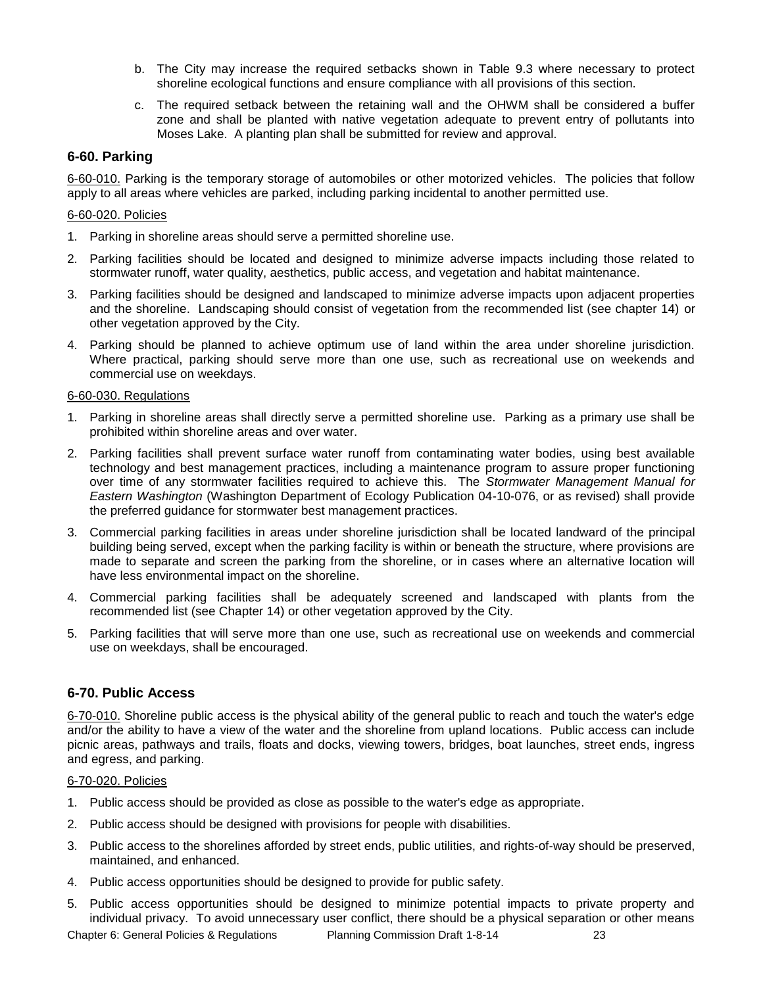- b. The City may increase the required setbacks shown in Table 9.3 where necessary to protect shoreline ecological functions and ensure compliance with all provisions of this section.
- c. The required setback between the retaining wall and the OHWM shall be considered a buffer zone and shall be planted with native vegetation adequate to prevent entry of pollutants into Moses Lake. A planting plan shall be submitted for review and approval.

# **6-60. Parking**

6-60-010. Parking is the temporary storage of automobiles or other motorized vehicles. The policies that follow apply to all areas where vehicles are parked, including parking incidental to another permitted use.

### 6-60-020. Policies

- 1. Parking in shoreline areas should serve a permitted shoreline use.
- 2. Parking facilities should be located and designed to minimize adverse impacts including those related to stormwater runoff, water quality, aesthetics, public access, and vegetation and habitat maintenance.
- 3. Parking facilities should be designed and landscaped to minimize adverse impacts upon adjacent properties and the shoreline. Landscaping should consist of vegetation from the recommended list (see chapter 14) or other vegetation approved by the City.
- 4. Parking should be planned to achieve optimum use of land within the area under shoreline jurisdiction. Where practical, parking should serve more than one use, such as recreational use on weekends and commercial use on weekdays.

### 6-60-030. Regulations

- 1. Parking in shoreline areas shall directly serve a permitted shoreline use. Parking as a primary use shall be prohibited within shoreline areas and over water.
- 2. Parking facilities shall prevent surface water runoff from contaminating water bodies, using best available technology and best management practices, including a maintenance program to assure proper functioning over time of any stormwater facilities required to achieve this. The *Stormwater Management Manual for Eastern Washington* (Washington Department of Ecology Publication 04-10-076, or as revised) shall provide the preferred guidance for stormwater best management practices.
- 3. Commercial parking facilities in areas under shoreline jurisdiction shall be located landward of the principal building being served, except when the parking facility is within or beneath the structure, where provisions are made to separate and screen the parking from the shoreline, or in cases where an alternative location will have less environmental impact on the shoreline.
- 4. Commercial parking facilities shall be adequately screened and landscaped with plants from the recommended list (see Chapter 14) or other vegetation approved by the City.
- 5. Parking facilities that will serve more than one use, such as recreational use on weekends and commercial use on weekdays, shall be encouraged.

### **6-70. Public Access**

6-70-010. Shoreline public access is the physical ability of the general public to reach and touch the water's edge and/or the ability to have a view of the water and the shoreline from upland locations. Public access can include picnic areas, pathways and trails, floats and docks, viewing towers, bridges, boat launches, street ends, ingress and egress, and parking.

### 6-70-020. Policies

- 1. Public access should be provided as close as possible to the water's edge as appropriate.
- 2. Public access should be designed with provisions for people with disabilities.
- 3. Public access to the shorelines afforded by street ends, public utilities, and rights-of-way should be preserved, maintained, and enhanced.
- 4. Public access opportunities should be designed to provide for public safety.
- 5. Public access opportunities should be designed to minimize potential impacts to private property and individual privacy. To avoid unnecessary user conflict, there should be a physical separation or other means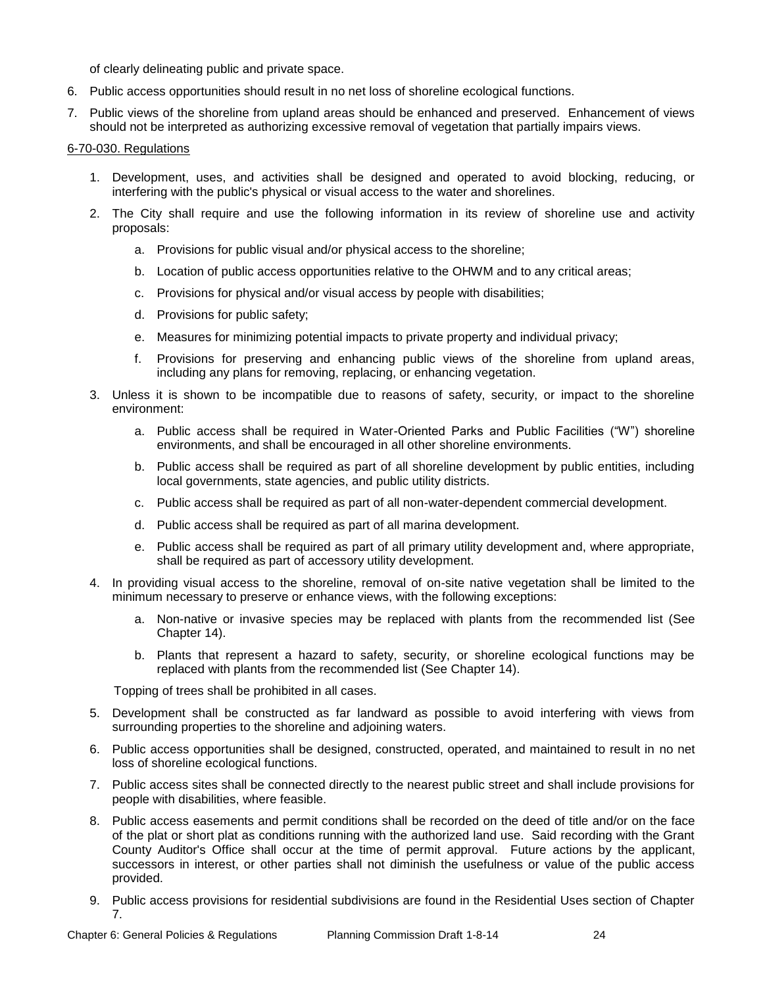of clearly delineating public and private space.

- 6. Public access opportunities should result in no net loss of shoreline ecological functions.
- 7. Public views of the shoreline from upland areas should be enhanced and preserved. Enhancement of views should not be interpreted as authorizing excessive removal of vegetation that partially impairs views.

### 6-70-030. Regulations

- 1. Development, uses, and activities shall be designed and operated to avoid blocking, reducing, or interfering with the public's physical or visual access to the water and shorelines.
- 2. The City shall require and use the following information in its review of shoreline use and activity proposals:
	- a. Provisions for public visual and/or physical access to the shoreline;
	- b. Location of public access opportunities relative to the OHWM and to any critical areas;
	- c. Provisions for physical and/or visual access by people with disabilities;
	- d. Provisions for public safety;
	- e. Measures for minimizing potential impacts to private property and individual privacy;
	- f. Provisions for preserving and enhancing public views of the shoreline from upland areas, including any plans for removing, replacing, or enhancing vegetation.
- 3. Unless it is shown to be incompatible due to reasons of safety, security, or impact to the shoreline environment:
	- a. Public access shall be required in Water-Oriented Parks and Public Facilities ("W") shoreline environments, and shall be encouraged in all other shoreline environments.
	- b. Public access shall be required as part of all shoreline development by public entities, including local governments, state agencies, and public utility districts.
	- c. Public access shall be required as part of all non-water-dependent commercial development.
	- d. Public access shall be required as part of all marina development.
	- e. Public access shall be required as part of all primary utility development and, where appropriate, shall be required as part of accessory utility development.
- 4. In providing visual access to the shoreline, removal of on-site native vegetation shall be limited to the minimum necessary to preserve or enhance views, with the following exceptions:
	- a. Non-native or invasive species may be replaced with plants from the recommended list (See Chapter 14).
	- b. Plants that represent a hazard to safety, security, or shoreline ecological functions may be replaced with plants from the recommended list (See Chapter 14).

Topping of trees shall be prohibited in all cases.

- 5. Development shall be constructed as far landward as possible to avoid interfering with views from surrounding properties to the shoreline and adjoining waters.
- 6. Public access opportunities shall be designed, constructed, operated, and maintained to result in no net loss of shoreline ecological functions.
- 7. Public access sites shall be connected directly to the nearest public street and shall include provisions for people with disabilities, where feasible.
- 8. Public access easements and permit conditions shall be recorded on the deed of title and/or on the face of the plat or short plat as conditions running with the authorized land use. Said recording with the Grant County Auditor's Office shall occur at the time of permit approval. Future actions by the applicant, successors in interest, or other parties shall not diminish the usefulness or value of the public access provided.
- 9. Public access provisions for residential subdivisions are found in the Residential Uses section of Chapter 7.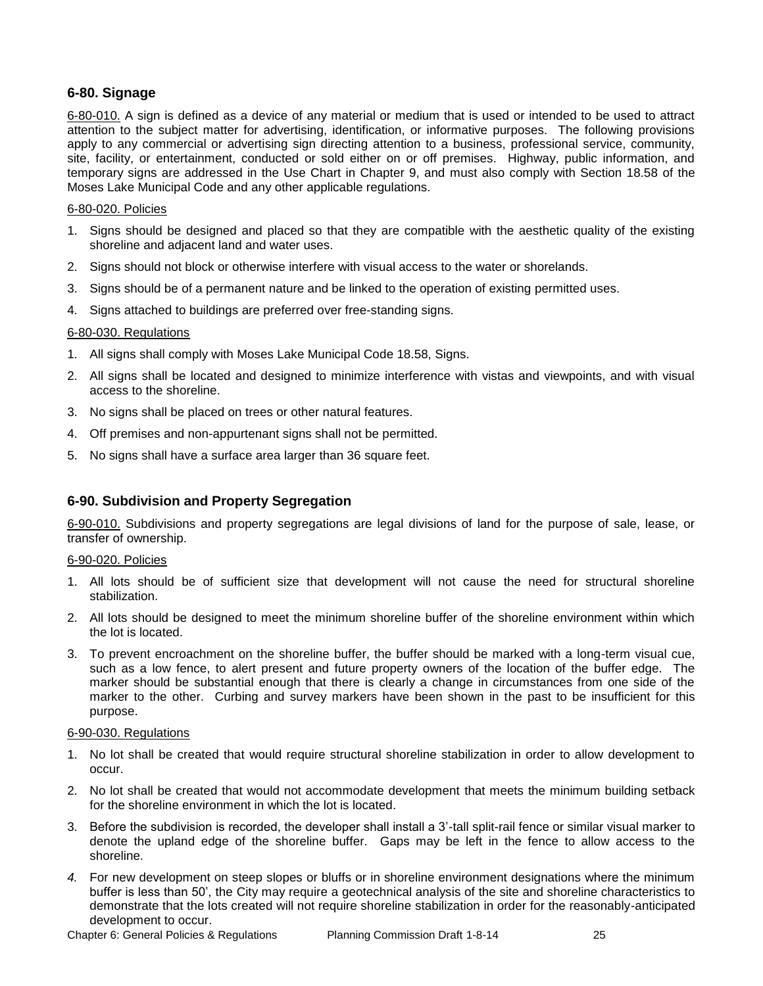# **6-80. Signage**

6-80-010. A sign is defined as a device of any material or medium that is used or intended to be used to attract attention to the subject matter for advertising, identification, or informative purposes. The following provisions apply to any commercial or advertising sign directing attention to a business, professional service, community, site, facility, or entertainment, conducted or sold either on or off premises. Highway, public information, and temporary signs are addressed in the Use Chart in Chapter 9, and must also comply with Section 18.58 of the Moses Lake Municipal Code and any other applicable regulations.

#### 6-80-020. Policies

- 1. Signs should be designed and placed so that they are compatible with the aesthetic quality of the existing shoreline and adjacent land and water uses.
- 2. Signs should not block or otherwise interfere with visual access to the water or shorelands.
- 3. Signs should be of a permanent nature and be linked to the operation of existing permitted uses.
- 4. Signs attached to buildings are preferred over free-standing signs.

#### 6-80-030. Regulations

- 1. All signs shall comply with Moses Lake Municipal Code 18.58, Signs.
- 2. All signs shall be located and designed to minimize interference with vistas and viewpoints, and with visual access to the shoreline.
- 3. No signs shall be placed on trees or other natural features.
- 4. Off premises and non-appurtenant signs shall not be permitted.
- 5. No signs shall have a surface area larger than 36 square feet.

### **6-90. Subdivision and Property Segregation**

6-90-010. Subdivisions and property segregations are legal divisions of land for the purpose of sale, lease, or transfer of ownership.

#### 6-90-020. Policies

- 1. All lots should be of sufficient size that development will not cause the need for structural shoreline stabilization.
- 2. All lots should be designed to meet the minimum shoreline buffer of the shoreline environment within which the lot is located.
- 3. To prevent encroachment on the shoreline buffer, the buffer should be marked with a long-term visual cue, such as a low fence, to alert present and future property owners of the location of the buffer edge. The marker should be substantial enough that there is clearly a change in circumstances from one side of the marker to the other. Curbing and survey markers have been shown in the past to be insufficient for this purpose.

#### 6-90-030. Regulations

- 1. No lot shall be created that would require structural shoreline stabilization in order to allow development to occur.
- 2. No lot shall be created that would not accommodate development that meets the minimum building setback for the shoreline environment in which the lot is located.
- 3. Before the subdivision is recorded, the developer shall install a 3'-tall split-rail fence or similar visual marker to denote the upland edge of the shoreline buffer. Gaps may be left in the fence to allow access to the shoreline.
- *4.* For new development on steep slopes or bluffs or in shoreline environment designations where the minimum buffer is less than 50', the City may require a geotechnical analysis of the site and shoreline characteristics to demonstrate that the lots created will not require shoreline stabilization in order for the reasonably-anticipated development to occur.